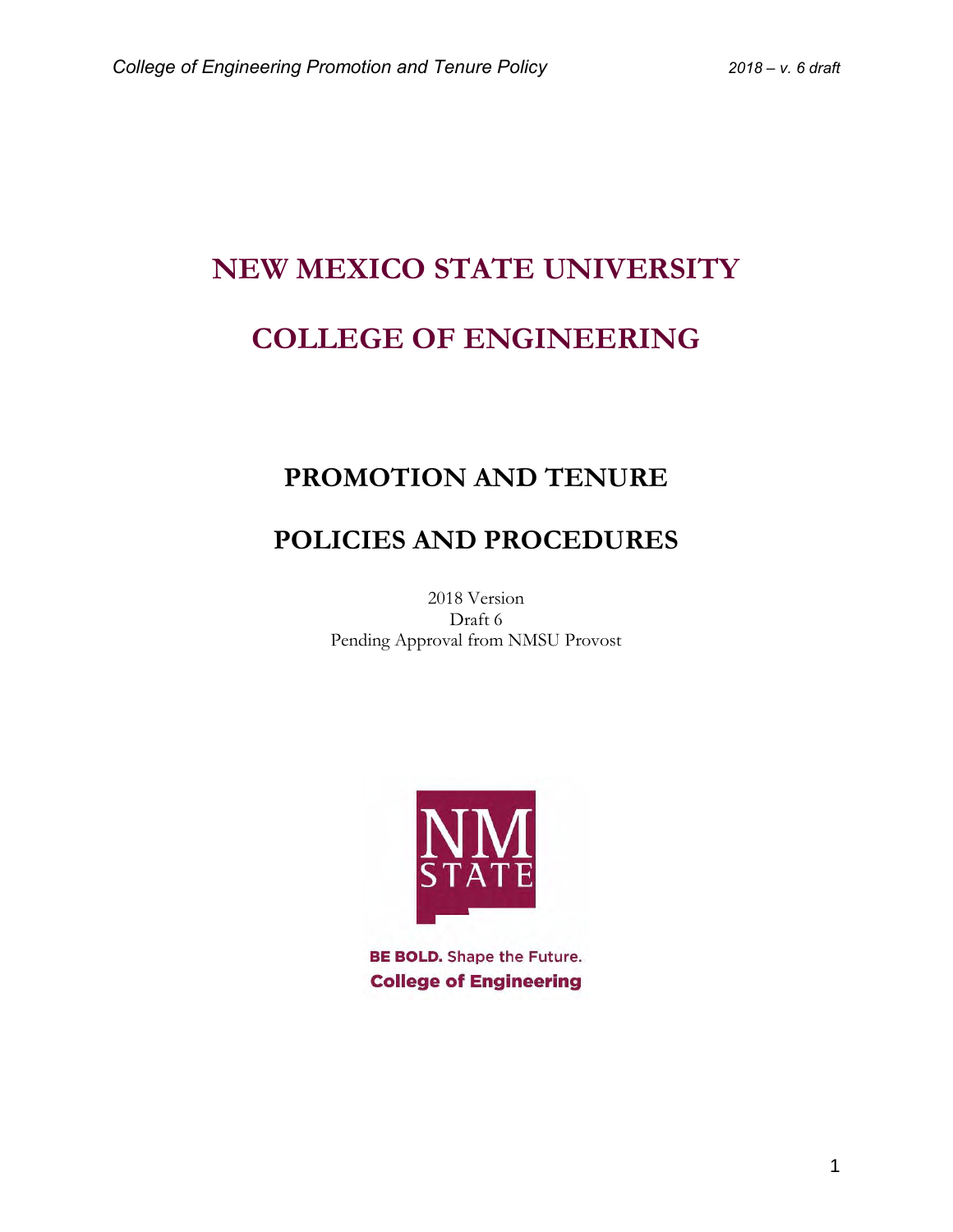# **NEW MEXICO STATE UNIVERSITY COLLEGE OF ENGINEERING**

# **PROMOTION AND TENURE**

# **POLICIES AND PROCEDURES**

2018 Version Draft 6 Pending Approval from NMSU Provost



**BE BOLD.** Shape the Future. **College of Engineering**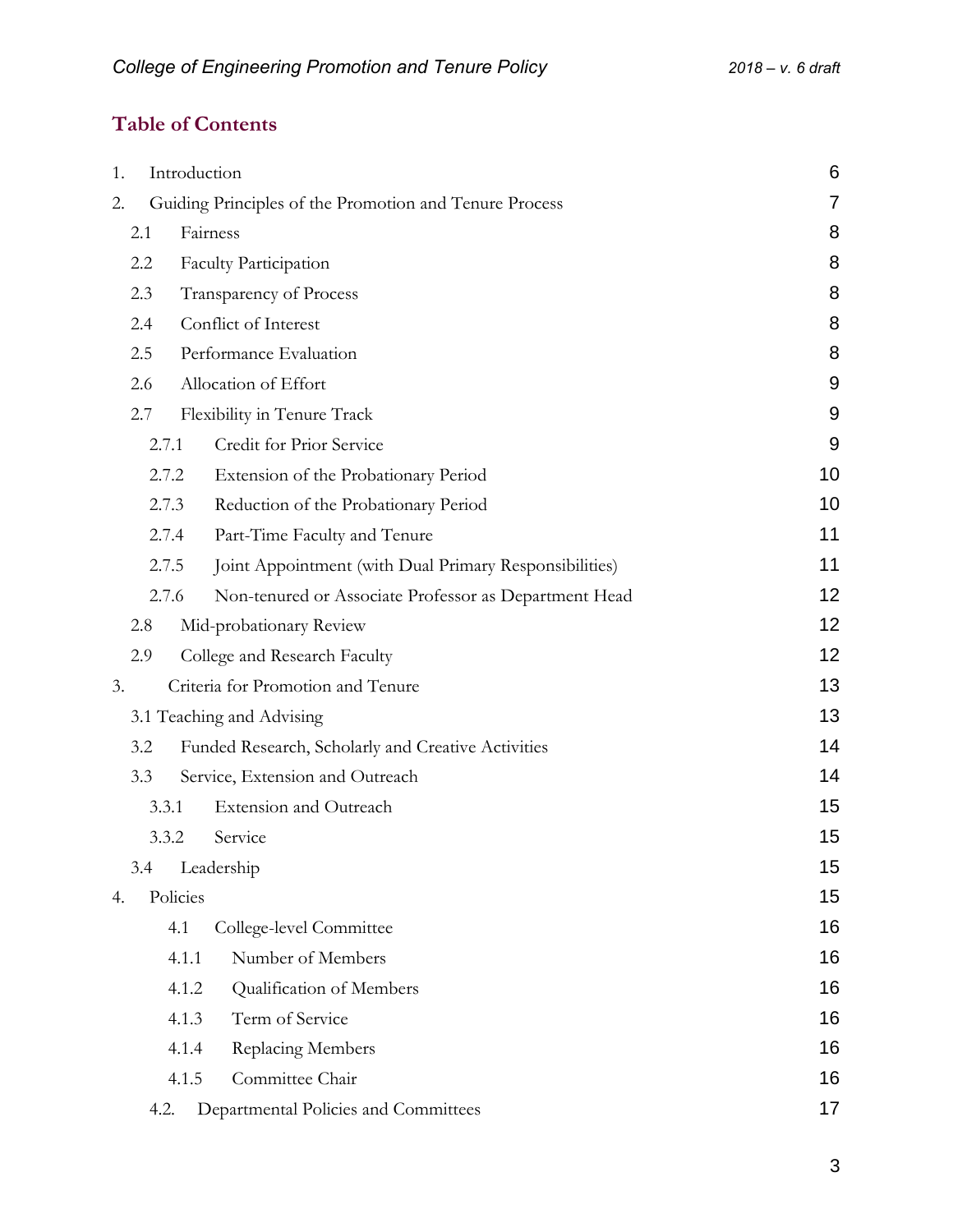# **Table of Contents**

| 1.  | Introduction |                                                        | 6  |
|-----|--------------|--------------------------------------------------------|----|
| 2.  |              | Guiding Principles of the Promotion and Tenure Process | 7  |
| 2.1 |              | Fairness                                               | 8  |
| 2.2 |              | <b>Faculty Participation</b>                           | 8  |
| 2.3 |              | Transparency of Process                                | 8  |
| 2.4 |              | Conflict of Interest                                   | 8  |
| 2.5 |              | Performance Evaluation                                 | 8  |
| 2.6 |              | Allocation of Effort                                   | 9  |
| 2.7 |              | Flexibility in Tenure Track                            | 9  |
|     | 2.7.1        | Credit for Prior Service                               | 9  |
|     | 2.7.2        | Extension of the Probationary Period                   | 10 |
|     | 2.7.3        | Reduction of the Probationary Period                   | 10 |
|     | 2.7.4        | Part-Time Faculty and Tenure                           | 11 |
|     | 2.7.5        | Joint Appointment (with Dual Primary Responsibilities) | 11 |
|     | 2.7.6        | Non-tenured or Associate Professor as Department Head  | 12 |
| 2.8 |              | Mid-probationary Review                                | 12 |
| 2.9 |              | College and Research Faculty                           | 12 |
| 3.  |              | Criteria for Promotion and Tenure                      | 13 |
|     |              | 3.1 Teaching and Advising                              | 13 |
| 3.2 |              | Funded Research, Scholarly and Creative Activities     | 14 |
| 3.3 |              | Service, Extension and Outreach                        | 14 |
|     | 3.3.1        | <b>Extension and Outreach</b>                          | 15 |
|     | 3.3.2        | Service                                                | 15 |
| 3.4 |              | Leadership                                             | 15 |
| 4.  | Policies     |                                                        | 15 |
|     | 4.1          | College-level Committee                                | 16 |
|     | 4.1.1        | Number of Members                                      | 16 |
|     | 4.1.2        | Qualification of Members                               | 16 |
|     | 4.1.3        | Term of Service                                        | 16 |
|     | 4.1.4        | Replacing Members                                      | 16 |
|     | 4.1.5        | Committee Chair                                        | 16 |
|     | 4.2.         | Departmental Policies and Committees                   | 17 |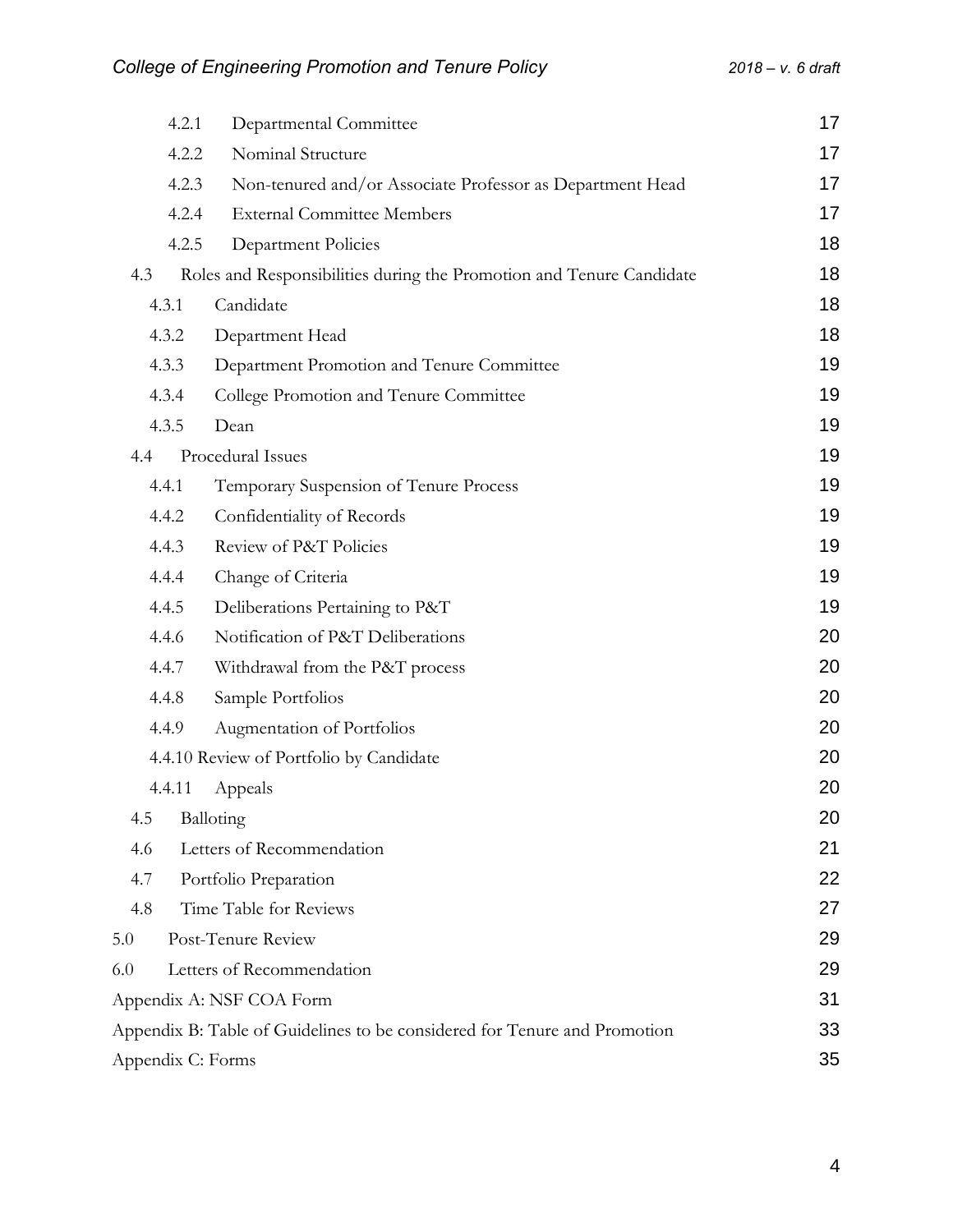|                   | 4.2.1  | Departmental Committee                                                    | 17 |
|-------------------|--------|---------------------------------------------------------------------------|----|
|                   | 4.2.2  | Nominal Structure                                                         | 17 |
|                   | 4.2.3  | Non-tenured and/or Associate Professor as Department Head                 | 17 |
|                   | 4.2.4  | <b>External Committee Members</b>                                         | 17 |
|                   | 4.2.5  | Department Policies                                                       | 18 |
| 4.3               |        | Roles and Responsibilities during the Promotion and Tenure Candidate      | 18 |
|                   | 4.3.1  | Candidate                                                                 | 18 |
|                   | 4.3.2  | Department Head                                                           | 18 |
|                   | 4.3.3  | Department Promotion and Tenure Committee                                 | 19 |
|                   | 4.3.4  | College Promotion and Tenure Committee                                    | 19 |
|                   | 4.3.5  | Dean                                                                      | 19 |
| 4.4               |        | Procedural Issues                                                         | 19 |
|                   | 4.4.1  | Temporary Suspension of Tenure Process                                    | 19 |
|                   | 4.4.2  | Confidentiality of Records                                                | 19 |
|                   | 4.4.3  | Review of P&T Policies                                                    | 19 |
|                   | 4.4.4  | Change of Criteria                                                        | 19 |
|                   | 4.4.5  | Deliberations Pertaining to P&T                                           | 19 |
|                   | 4.4.6  | Notification of P&T Deliberations                                         | 20 |
|                   | 4.4.7  | Withdrawal from the P&T process                                           | 20 |
|                   | 4.4.8  | Sample Portfolios                                                         | 20 |
|                   | 4.4.9  | Augmentation of Portfolios                                                | 20 |
|                   |        | 4.4.10 Review of Portfolio by Candidate                                   | 20 |
|                   | 4.4.11 | Appeals                                                                   | 20 |
| 4.5               |        | Balloting                                                                 | 20 |
| 4.6               |        | Letters of Recommendation                                                 | 21 |
| 4.7               |        | Portfolio Preparation                                                     | 22 |
| 4.8               |        | Time Table for Reviews                                                    | 27 |
| 5.0               |        | Post-Tenure Review                                                        | 29 |
| 6.0               |        | Letters of Recommendation                                                 | 29 |
|                   |        | Appendix A: NSF COA Form                                                  | 31 |
|                   |        | Appendix B: Table of Guidelines to be considered for Tenure and Promotion | 33 |
| Appendix C: Forms |        |                                                                           | 35 |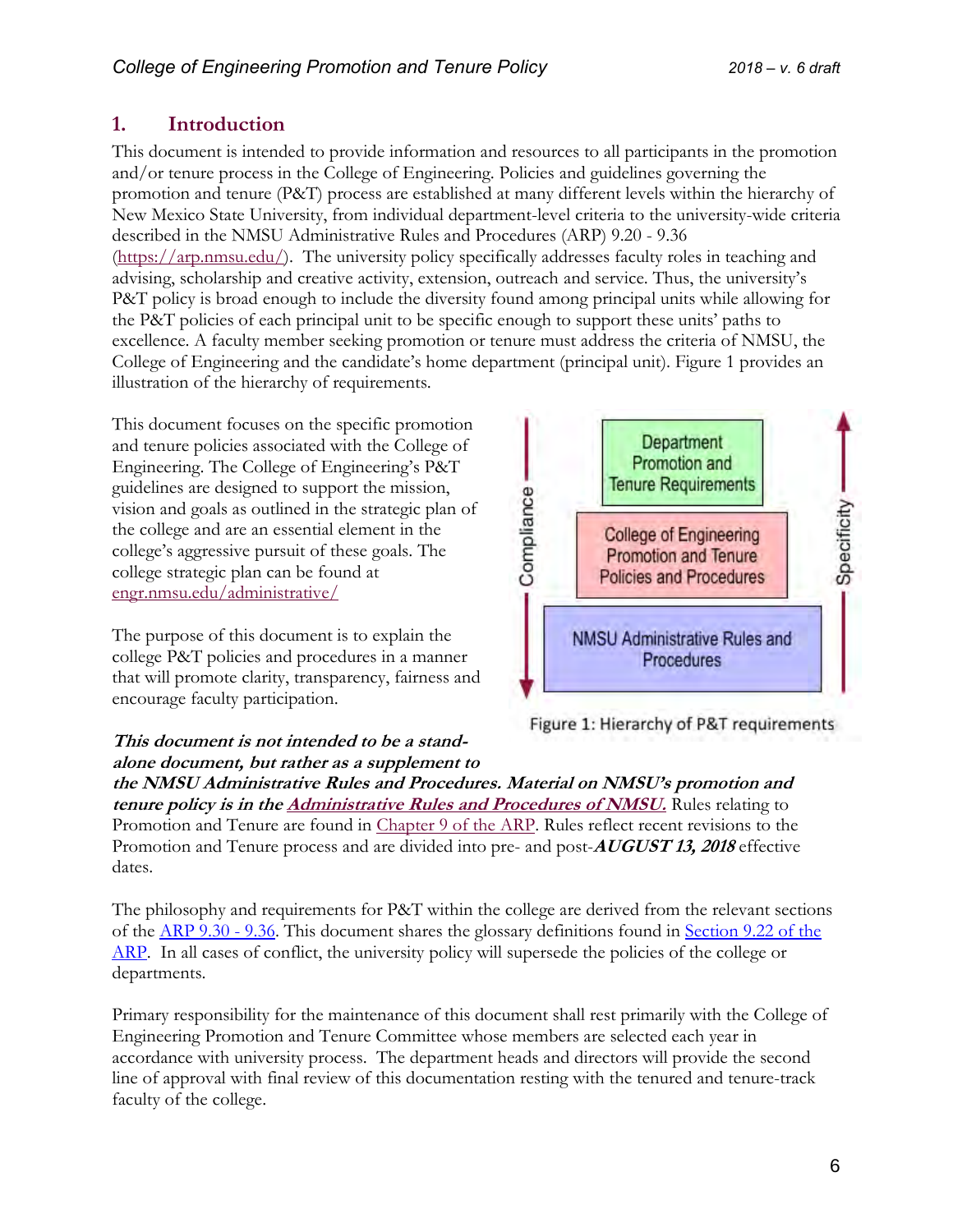# <span id="page-5-0"></span>**1. Introduction**

This document is intended to provide information and resources to all participants in the promotion and/or tenure process in the College of Engineering. Policies and guidelines governing the promotion and tenure (P&T) process are established at many different levels within the hierarchy of New Mexico State University, from individual department-level criteria to the university-wide criteria described in the NMSU Administrative Rules and Procedures (ARP) 9.20 - 9.36 [\(https://arp.nmsu.edu/\)](https://arp.nmsu.edu/). The university policy specifically addresses faculty roles in teaching and advising, scholarship and creative activity, extension, outreach and service. Thus, the university's P&T policy is broad enough to include the diversity found among principal units while allowing for the P&T policies of each principal unit to be specific enough to support these units' paths to excellence. A faculty member seeking promotion or tenure must address the criteria of NMSU, the College of Engineering and the candidate's home department (principal unit). Figure 1 provides an illustration of the hierarchy of requirements.

This document focuses on the specific promotion and tenure policies associated with the College of Engineering. The College of Engineering's P&T guidelines are designed to support the mission, vision and goals as outlined in the strategic plan of the college and are an essential element in the college's aggressive pursuit of these goals. The college strategic plan can be found at engr.nmsu.edu/administrative/

The purpose of this document is to explain the college P&T policies and procedures in a manner that will promote clarity, transparency, fairness and encourage faculty participation.

#### **This document is not intended to be a standalone document, but rather as a supplement to**



Figure 1: Hierarchy of P&T requirements

**the NMSU Administrative Rules and Procedures. Material on NMSU's promotion and tenure policy is in th[e Administrative Rules and Procedures of NMSU.](https://arp.nmsu.edu/)** Rules relating to Promotion and Tenure are found in [Chapter 9 of the ARP.](https://arp.nmsu.edu/chapter-9/) Rules reflect recent revisions to the Promotion and Tenure process and are divided into pre- and post-**AUGUST 13, 2018** effective dates.

The philosophy and requirements for P&T within the college are derived from the relevant sections of the [ARP 9.30 -](https://arp.nmsu.edu/chapter-9/) 9.36. This document shares the glossary definitions found in [Section 9.22 of the](https://arp.nmsu.edu/9-22/)  [ARP.](https://arp.nmsu.edu/9-22/) In all cases of conflict, the university policy will supersede the policies of the college or departments.

Primary responsibility for the maintenance of this document shall rest primarily with the College of Engineering Promotion and Tenure Committee whose members are selected each year in accordance with university process. The department heads and directors will provide the second line of approval with final review of this documentation resting with the tenured and tenure-track faculty of the college.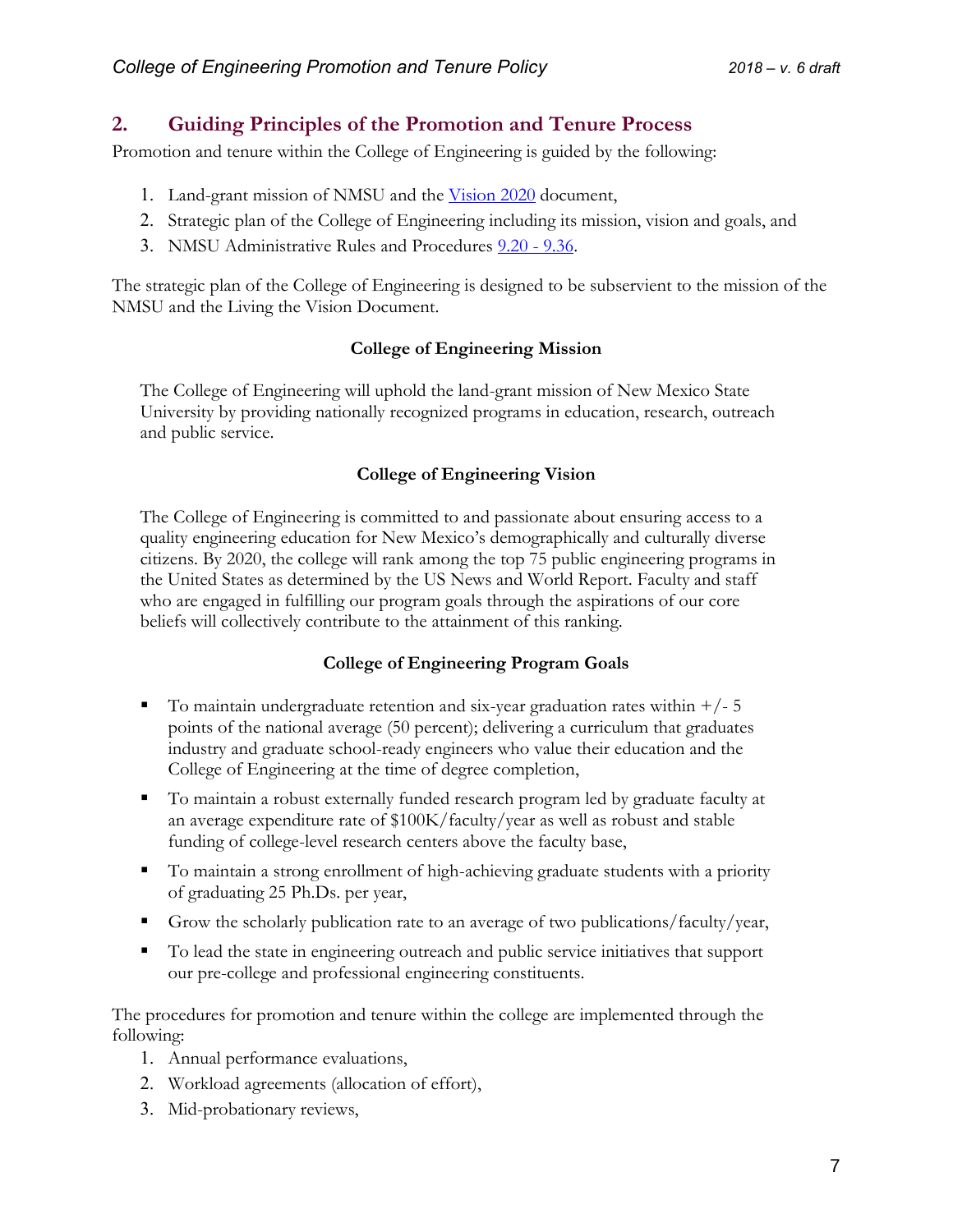# <span id="page-6-0"></span>**2. Guiding Principles of the Promotion and Tenure Process**

Promotion and tenure within the College of Engineering is guided by the following:

- 1. Land-grant mission of NMSU and the [Vision 2020](https://plan.nmsu.edu/wp-content/uploads/sites/13/2018/02/Vision2020-2-5-2018.pdf) document,
- 2. Strategic plan of the College of Engineering including its mission, vision and goals, and
- 3. NMSU Administrative Rules and Procedures [9.20 -](https://arp.nmsu.edu/chapter-9/) 9.36.

The strategic plan of the College of Engineering is designed to be subservient to the mission of the NMSU and the Living the Vision Document.

#### **College of Engineering Mission**

The College of Engineering will uphold the land-grant mission of New Mexico State University by providing nationally recognized programs in education, research, outreach and public service.

#### **College of Engineering Vision**

The College of Engineering is committed to and passionate about ensuring access to a quality engineering education for New Mexico's demographically and culturally diverse citizens. By 2020, the college will rank among the top 75 public engineering programs in the United States as determined by the US News and World Report. Faculty and staff who are engaged in fulfilling our program goals through the aspirations of our core beliefs will collectively contribute to the attainment of this ranking.

#### **College of Engineering Program Goals**

- $\blacksquare$  To maintain undergraduate retention and six-year graduation rates within  $\pm$ / $\pm$  5 points of the national average (50 percent); delivering a curriculum that graduates industry and graduate school-ready engineers who value their education and the College of Engineering at the time of degree completion,
- To maintain a robust externally funded research program led by graduate faculty at an average expenditure rate of \$100K/faculty/year as well as robust and stable funding of college-level research centers above the faculty base,
- To maintain a strong enrollment of high-achieving graduate students with a priority of graduating 25 Ph.Ds. per year,
- Grow the scholarly publication rate to an average of two publications/faculty/year,
- To lead the state in engineering outreach and public service initiatives that support our pre-college and professional engineering constituents.

The procedures for promotion and tenure within the college are implemented through the following:

- 1. Annual performance evaluations,
- 2. Workload agreements (allocation of effort),
- 3. Mid-probationary reviews,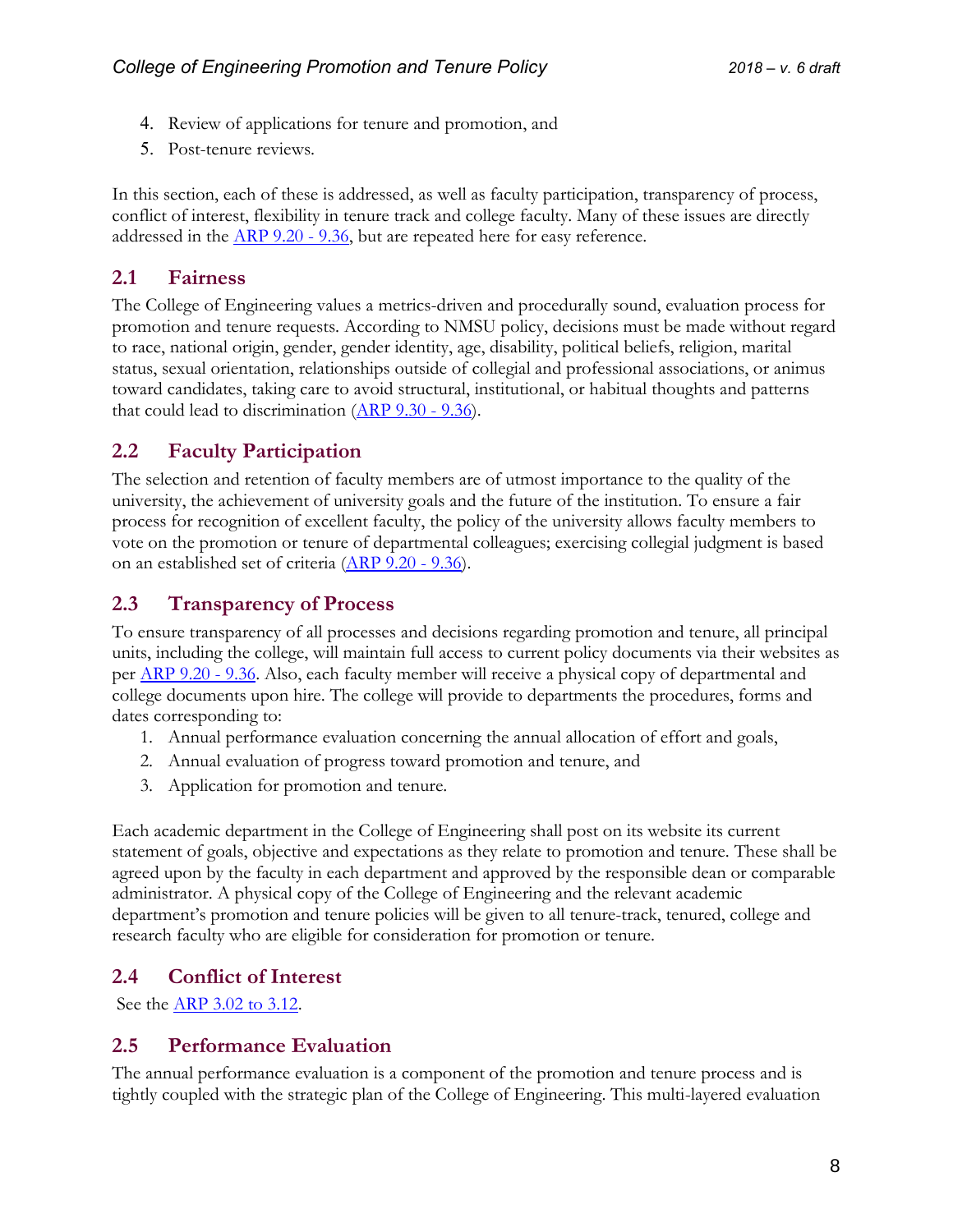- 4. Review of applications for tenure and promotion, and
- 5. Post-tenure reviews.

In this section, each of these is addressed, as well as faculty participation, transparency of process, conflict of interest, flexibility in tenure track and college faculty. Many of these issues are directly addressed in the [ARP 9.20 -](https://arp.nmsu.edu/chapter-9/) 9.36, but are repeated here for easy reference.

### <span id="page-7-0"></span>**2.1 Fairness**

The College of Engineering values a metrics-driven and procedurally sound, evaluation process for promotion and tenure requests. According to NMSU policy, decisions must be made without regard to race, national origin, gender, gender identity, age, disability, political beliefs, religion, marital status, sexual orientation, relationships outside of collegial and professional associations, or animus toward candidates, taking care to avoid structural, institutional, or habitual thoughts and patterns that could lead to discrimination  $(\underline{ARP}\ 9.30 - 9.36)$ .

# <span id="page-7-1"></span>**2.2 Faculty Participation**

The selection and retention of faculty members are of utmost importance to the quality of the university, the achievement of university goals and the future of the institution. To ensure a fair process for recognition of excellent faculty, the policy of the university allows faculty members to vote on the promotion or tenure of departmental colleagues; exercising collegial judgment is based on an established set of criteria [\(ARP 9.20 -](https://arp.nmsu.edu/chapter-9/) 9.36).

# <span id="page-7-2"></span>**2.3 Transparency of Process**

To ensure transparency of all processes and decisions regarding promotion and tenure, all principal units, including the college, will maintain full access to current policy documents via their websites as per [ARP 9.20 -](https://arp.nmsu.edu/chapter-9/) 9.36. Also, each faculty member will receive a physical copy of departmental and college documents upon hire. The college will provide to departments the procedures, forms and dates corresponding to:

- 1. Annual performance evaluation concerning the annual allocation of effort and goals,
- 2. Annual evaluation of progress toward promotion and tenure, and
- 3. Application for promotion and tenure.

Each academic department in the College of Engineering shall post on its website its current statement of goals, objective and expectations as they relate to promotion and tenure. These shall be agreed upon by the faculty in each department and approved by the responsible dean or comparable administrator. A physical copy of the College of Engineering and the relevant academic department's promotion and tenure policies will be given to all tenure-track, tenured, college and research faculty who are eligible for consideration for promotion or tenure.

# <span id="page-7-3"></span>**2.4 Conflict of Interest**

See the [ARP 3.02 to 3.12.](https://arp.nmsu.edu/chapter-3/)

# <span id="page-7-4"></span>**2.5 Performance Evaluation**

The annual performance evaluation is a component of the promotion and tenure process and is tightly coupled with the strategic plan of the College of Engineering. This multi-layered evaluation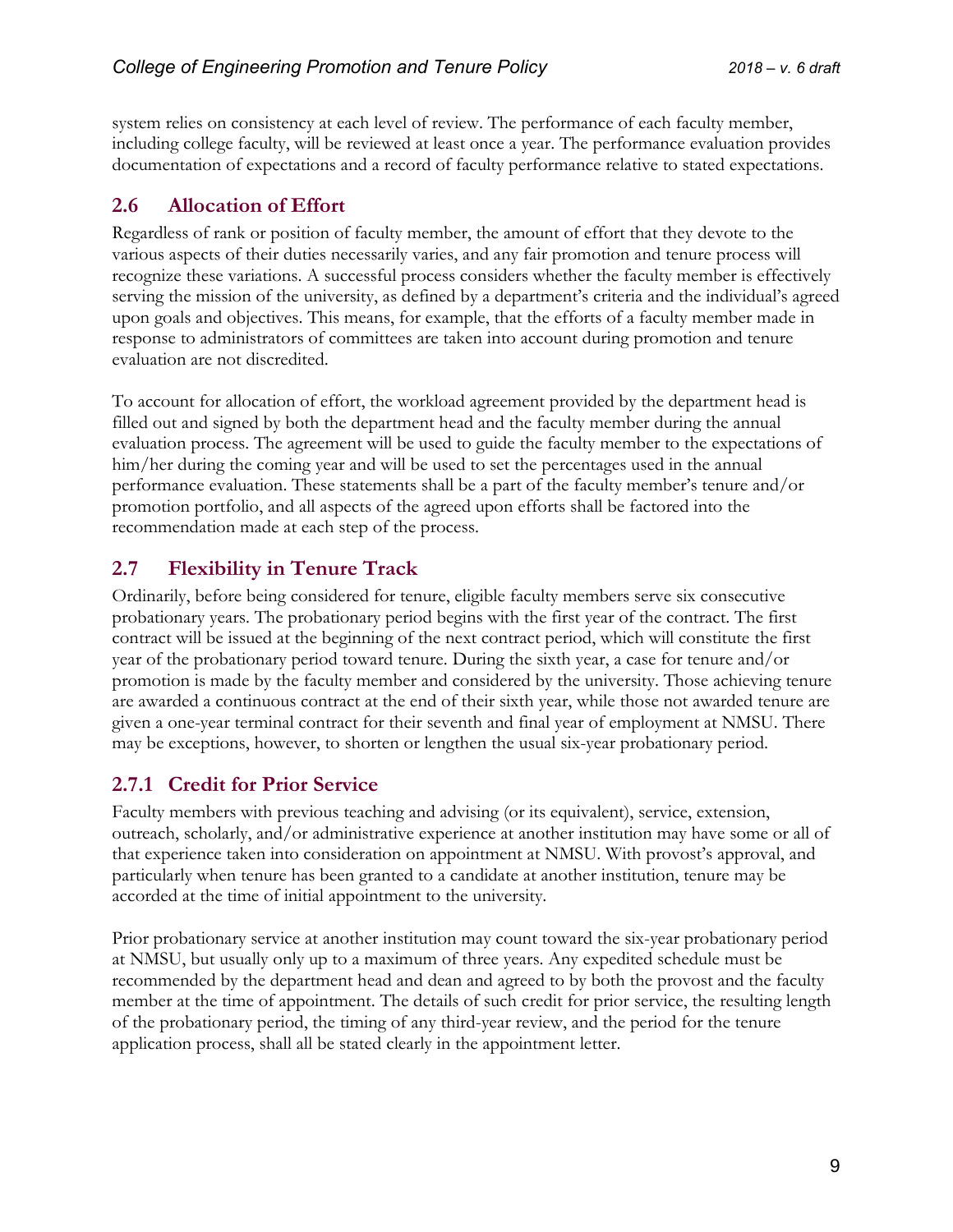system relies on consistency at each level of review. The performance of each faculty member, including college faculty, will be reviewed at least once a year. The performance evaluation provides documentation of expectations and a record of faculty performance relative to stated expectations.

# <span id="page-8-0"></span>**2.6 Allocation of Effort**

Regardless of rank or position of faculty member, the amount of effort that they devote to the various aspects of their duties necessarily varies, and any fair promotion and tenure process will recognize these variations. A successful process considers whether the faculty member is effectively serving the mission of the university, as defined by a department's criteria and the individual's agreed upon goals and objectives. This means, for example, that the efforts of a faculty member made in response to administrators of committees are taken into account during promotion and tenure evaluation are not discredited.

To account for allocation of effort, the workload agreement provided by the department head is filled out and signed by both the department head and the faculty member during the annual evaluation process. The agreement will be used to guide the faculty member to the expectations of him/her during the coming year and will be used to set the percentages used in the annual performance evaluation. These statements shall be a part of the faculty member's tenure and/or promotion portfolio, and all aspects of the agreed upon efforts shall be factored into the recommendation made at each step of the process.

# <span id="page-8-1"></span>**2.7 Flexibility in Tenure Track**

Ordinarily, before being considered for tenure, eligible faculty members serve six consecutive probationary years. The probationary period begins with the first year of the contract. The first contract will be issued at the beginning of the next contract period, which will constitute the first year of the probationary period toward tenure. During the sixth year, a case for tenure and/or promotion is made by the faculty member and considered by the university. Those achieving tenure are awarded a continuous contract at the end of their sixth year, while those not awarded tenure are given a one-year terminal contract for their seventh and final year of employment at NMSU. There may be exceptions, however, to shorten or lengthen the usual six-year probationary period.

# <span id="page-8-2"></span>**2.7.1 Credit for Prior Service**

Faculty members with previous teaching and advising (or its equivalent), service, extension, outreach, scholarly, and/or administrative experience at another institution may have some or all of that experience taken into consideration on appointment at NMSU. With provost's approval, and particularly when tenure has been granted to a candidate at another institution, tenure may be accorded at the time of initial appointment to the university.

Prior probationary service at another institution may count toward the six-year probationary period at NMSU, but usually only up to a maximum of three years. Any expedited schedule must be recommended by the department head and dean and agreed to by both the provost and the faculty member at the time of appointment. The details of such credit for prior service, the resulting length of the probationary period, the timing of any third-year review, and the period for the tenure application process, shall all be stated clearly in the appointment letter.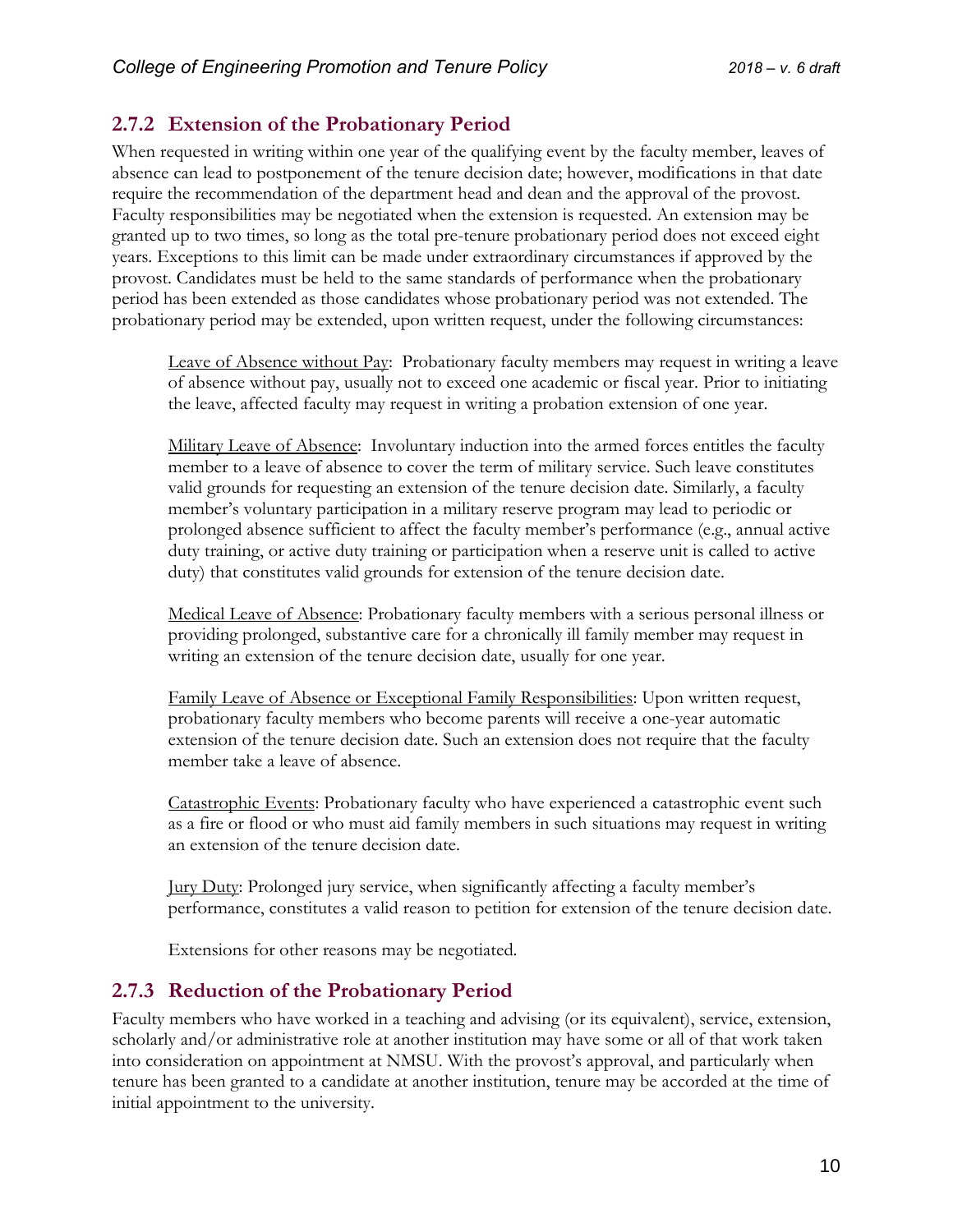# <span id="page-9-0"></span>**2.7.2 Extension of the Probationary Period**

When requested in writing within one year of the qualifying event by the faculty member, leaves of absence can lead to postponement of the tenure decision date; however, modifications in that date require the recommendation of the department head and dean and the approval of the provost. Faculty responsibilities may be negotiated when the extension is requested. An extension may be granted up to two times, so long as the total pre-tenure probationary period does not exceed eight years. Exceptions to this limit can be made under extraordinary circumstances if approved by the provost. Candidates must be held to the same standards of performance when the probationary period has been extended as those candidates whose probationary period was not extended. The probationary period may be extended, upon written request, under the following circumstances:

Leave of Absence without Pay: Probationary faculty members may request in writing a leave of absence without pay, usually not to exceed one academic or fiscal year. Prior to initiating the leave, affected faculty may request in writing a probation extension of one year.

Military Leave of Absence: Involuntary induction into the armed forces entitles the faculty member to a leave of absence to cover the term of military service. Such leave constitutes valid grounds for requesting an extension of the tenure decision date. Similarly, a faculty member's voluntary participation in a military reserve program may lead to periodic or prolonged absence sufficient to affect the faculty member's performance (e.g., annual active duty training, or active duty training or participation when a reserve unit is called to active duty) that constitutes valid grounds for extension of the tenure decision date.

Medical Leave of Absence: Probationary faculty members with a serious personal illness or providing prolonged, substantive care for a chronically ill family member may request in writing an extension of the tenure decision date, usually for one year.

Family Leave of Absence or Exceptional Family Responsibilities: Upon written request, probationary faculty members who become parents will receive a one-year automatic extension of the tenure decision date. Such an extension does not require that the faculty member take a leave of absence.

Catastrophic Events: Probationary faculty who have experienced a catastrophic event such as a fire or flood or who must aid family members in such situations may request in writing an extension of the tenure decision date.

Jury Duty: Prolonged jury service, when significantly affecting a faculty member's performance, constitutes a valid reason to petition for extension of the tenure decision date.

Extensions for other reasons may be negotiated.

# <span id="page-9-1"></span>**2.7.3 Reduction of the Probationary Period**

Faculty members who have worked in a teaching and advising (or its equivalent), service, extension, scholarly and/or administrative role at another institution may have some or all of that work taken into consideration on appointment at NMSU. With the provost's approval, and particularly when tenure has been granted to a candidate at another institution, tenure may be accorded at the time of initial appointment to the university.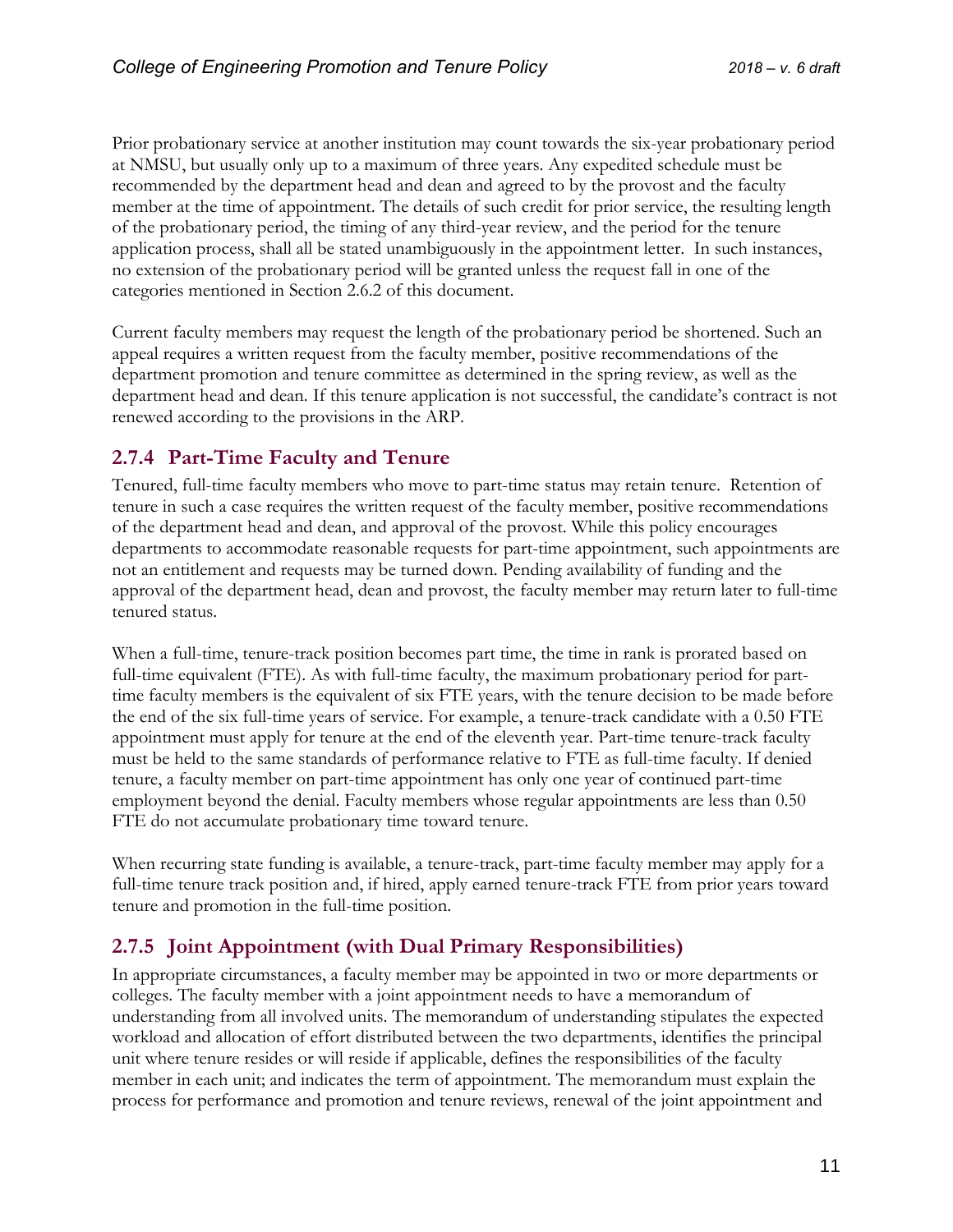Prior probationary service at another institution may count towards the six-year probationary period at NMSU, but usually only up to a maximum of three years. Any expedited schedule must be recommended by the department head and dean and agreed to by the provost and the faculty member at the time of appointment. The details of such credit for prior service, the resulting length of the probationary period, the timing of any third-year review, and the period for the tenure application process, shall all be stated unambiguously in the appointment letter. In such instances, no extension of the probationary period will be granted unless the request fall in one of the categories mentioned in Section 2.6.2 of this document.

Current faculty members may request the length of the probationary period be shortened. Such an appeal requires a written request from the faculty member, positive recommendations of the department promotion and tenure committee as determined in the spring review, as well as the department head and dean. If this tenure application is not successful, the candidate's contract is not renewed according to the provisions in the ARP.

# <span id="page-10-0"></span>**2.7.4 Part-Time Faculty and Tenure**

Tenured, full-time faculty members who move to part-time status may retain tenure. Retention of tenure in such a case requires the written request of the faculty member, positive recommendations of the department head and dean, and approval of the provost. While this policy encourages departments to accommodate reasonable requests for part-time appointment, such appointments are not an entitlement and requests may be turned down. Pending availability of funding and the approval of the department head, dean and provost, the faculty member may return later to full-time tenured status.

When a full-time, tenure-track position becomes part time, the time in rank is prorated based on full-time equivalent (FTE). As with full-time faculty, the maximum probationary period for parttime faculty members is the equivalent of six FTE years, with the tenure decision to be made before the end of the six full-time years of service. For example, a tenure-track candidate with a 0.50 FTE appointment must apply for tenure at the end of the eleventh year. Part-time tenure-track faculty must be held to the same standards of performance relative to FTE as full-time faculty. If denied tenure, a faculty member on part-time appointment has only one year of continued part-time employment beyond the denial. Faculty members whose regular appointments are less than 0.50 FTE do not accumulate probationary time toward tenure.

When recurring state funding is available, a tenure-track, part-time faculty member may apply for a full-time tenure track position and, if hired, apply earned tenure-track FTE from prior years toward tenure and promotion in the full-time position.

# <span id="page-10-1"></span>**2.7.5 Joint Appointment (with Dual Primary Responsibilities)**

In appropriate circumstances, a faculty member may be appointed in two or more departments or colleges. The faculty member with a joint appointment needs to have a memorandum of understanding from all involved units. The memorandum of understanding stipulates the expected workload and allocation of effort distributed between the two departments, identifies the principal unit where tenure resides or will reside if applicable, defines the responsibilities of the faculty member in each unit; and indicates the term of appointment. The memorandum must explain the process for performance and promotion and tenure reviews, renewal of the joint appointment and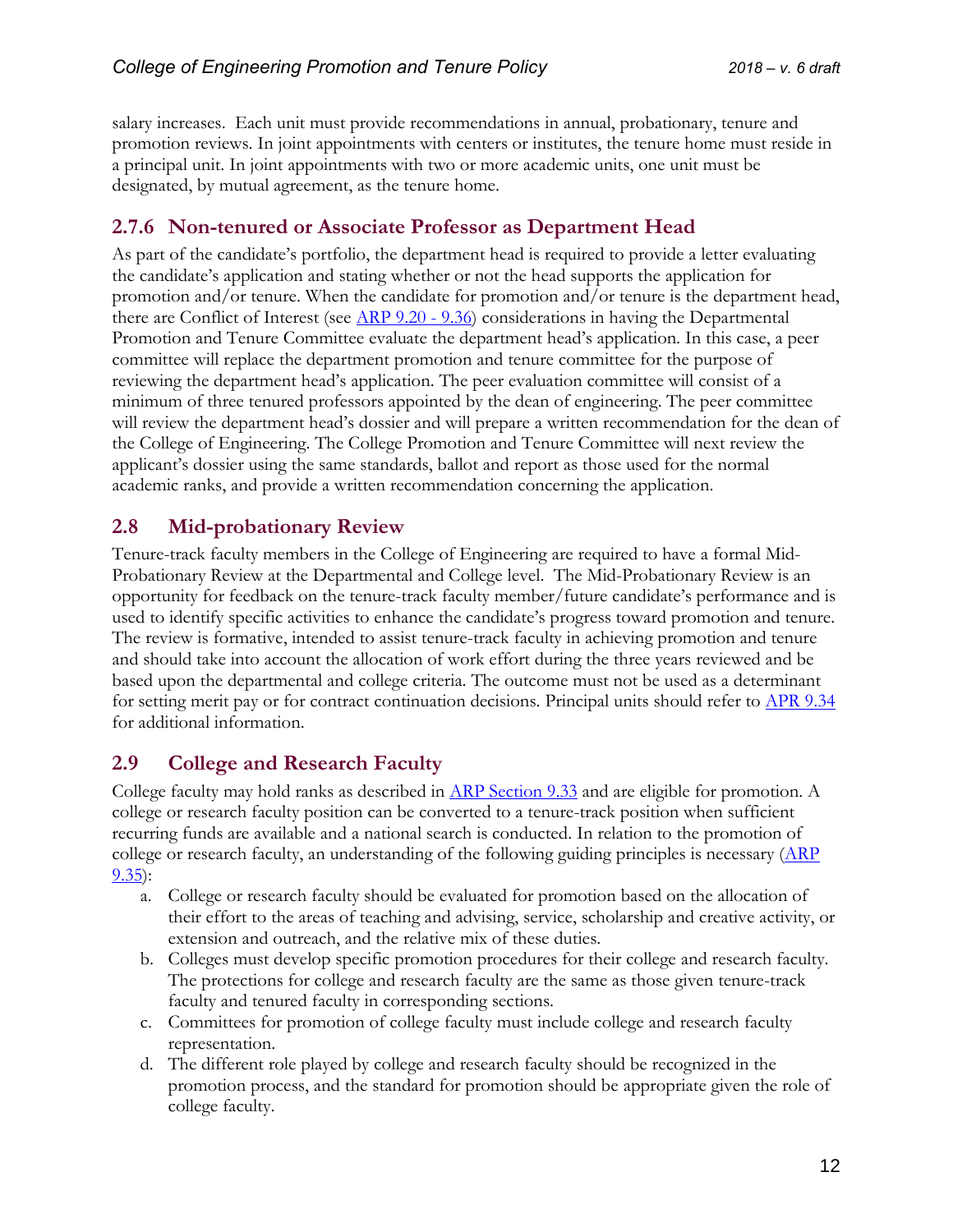salary increases. Each unit must provide recommendations in annual, probationary, tenure and promotion reviews. In joint appointments with centers or institutes, the tenure home must reside in a principal unit. In joint appointments with two or more academic units, one unit must be designated, by mutual agreement, as the tenure home.

## <span id="page-11-0"></span>**2.7.6 Non-tenured or Associate Professor as Department Head**

As part of the candidate's portfolio, the department head is required to provide a letter evaluating the candidate's application and stating whether or not the head supports the application for promotion and/or tenure. When the candidate for promotion and/or tenure is the department head, there are Conflict of Interest (see  $\overline{ARP}$  9.20 - 9.36) considerations in having the Departmental Promotion and Tenure Committee evaluate the department head's application. In this case, a peer committee will replace the department promotion and tenure committee for the purpose of reviewing the department head's application. The peer evaluation committee will consist of a minimum of three tenured professors appointed by the dean of engineering. The peer committee will review the department head's dossier and will prepare a written recommendation for the dean of the College of Engineering. The College Promotion and Tenure Committee will next review the applicant's dossier using the same standards, ballot and report as those used for the normal academic ranks, and provide a written recommendation concerning the application.

# <span id="page-11-1"></span>**2.8 Mid-probationary Review**

Tenure-track faculty members in the College of Engineering are required to have a formal Mid-Probationary Review at the Departmental and College level. The Mid-Probationary Review is an opportunity for feedback on the tenure-track faculty member/future candidate's performance and is used to identify specific activities to enhance the candidate's progress toward promotion and tenure. The review is formative, intended to assist tenure-track faculty in achieving promotion and tenure and should take into account the allocation of work effort during the three years reviewed and be based upon the departmental and college criteria. The outcome must not be used as a determinant for setting merit pay or for contract continuation decisions. Principal units should refer to [APR 9.34](https://arp.nmsu.edu/9-34/) for additional information.

# <span id="page-11-2"></span>**2.9 College and Research Faculty**

College faculty may hold ranks as described in [ARP Section 9.33](https://arp.nmsu.edu/9-33/) and are eligible for promotion. A college or research faculty position can be converted to a tenure-track position when sufficient recurring funds are available and a national search is conducted. In relation to the promotion of college or research faculty, an understanding of the following guiding principles is necessary  $(ARP)$ [9.35\)](https://arp.nmsu.edu/9-35/):

- a. College or research faculty should be evaluated for promotion based on the allocation of their effort to the areas of teaching and advising, service, scholarship and creative activity, or extension and outreach, and the relative mix of these duties.
- b. Colleges must develop specific promotion procedures for their college and research faculty. The protections for college and research faculty are the same as those given tenure-track faculty and tenured faculty in corresponding sections.
- c. Committees for promotion of college faculty must include college and research faculty representation.
- d. The different role played by college and research faculty should be recognized in the promotion process, and the standard for promotion should be appropriate given the role of college faculty.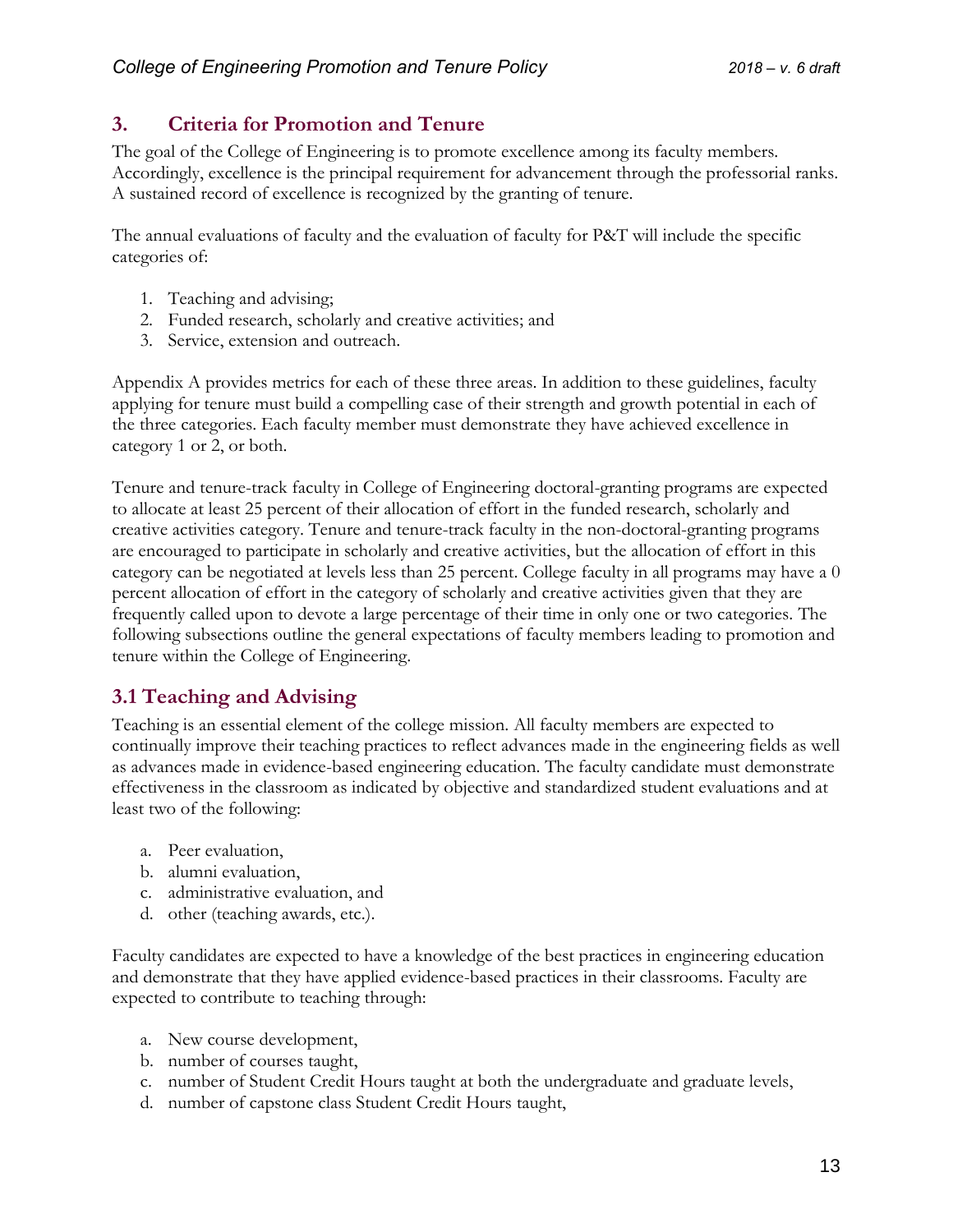# <span id="page-12-0"></span>**3. Criteria for Promotion and Tenure**

The goal of the College of Engineering is to promote excellence among its faculty members. Accordingly, excellence is the principal requirement for advancement through the professorial ranks. A sustained record of excellence is recognized by the granting of tenure.

The annual evaluations of faculty and the evaluation of faculty for P&T will include the specific categories of:

- 1. Teaching and advising;
- 2. Funded research, scholarly and creative activities; and
- 3. Service, extension and outreach.

Appendix A provides metrics for each of these three areas. In addition to these guidelines, faculty applying for tenure must build a compelling case of their strength and growth potential in each of the three categories. Each faculty member must demonstrate they have achieved excellence in category 1 or 2, or both.

Tenure and tenure-track faculty in College of Engineering doctoral-granting programs are expected to allocate at least 25 percent of their allocation of effort in the funded research, scholarly and creative activities category. Tenure and tenure-track faculty in the non-doctoral-granting programs are encouraged to participate in scholarly and creative activities, but the allocation of effort in this category can be negotiated at levels less than 25 percent. College faculty in all programs may have a 0 percent allocation of effort in the category of scholarly and creative activities given that they are frequently called upon to devote a large percentage of their time in only one or two categories. The following subsections outline the general expectations of faculty members leading to promotion and tenure within the College of Engineering.

# <span id="page-12-1"></span>**3.1 Teaching and Advising**

Teaching is an essential element of the college mission. All faculty members are expected to continually improve their teaching practices to reflect advances made in the engineering fields as well as advances made in evidence-based engineering education. The faculty candidate must demonstrate effectiveness in the classroom as indicated by objective and standardized student evaluations and at least two of the following:

- a. Peer evaluation,
- b. alumni evaluation,
- c. administrative evaluation, and
- d. other (teaching awards, etc.).

Faculty candidates are expected to have a knowledge of the best practices in engineering education and demonstrate that they have applied evidence-based practices in their classrooms. Faculty are expected to contribute to teaching through:

- a. New course development,
- b. number of courses taught,
- c. number of Student Credit Hours taught at both the undergraduate and graduate levels,
- d. number of capstone class Student Credit Hours taught,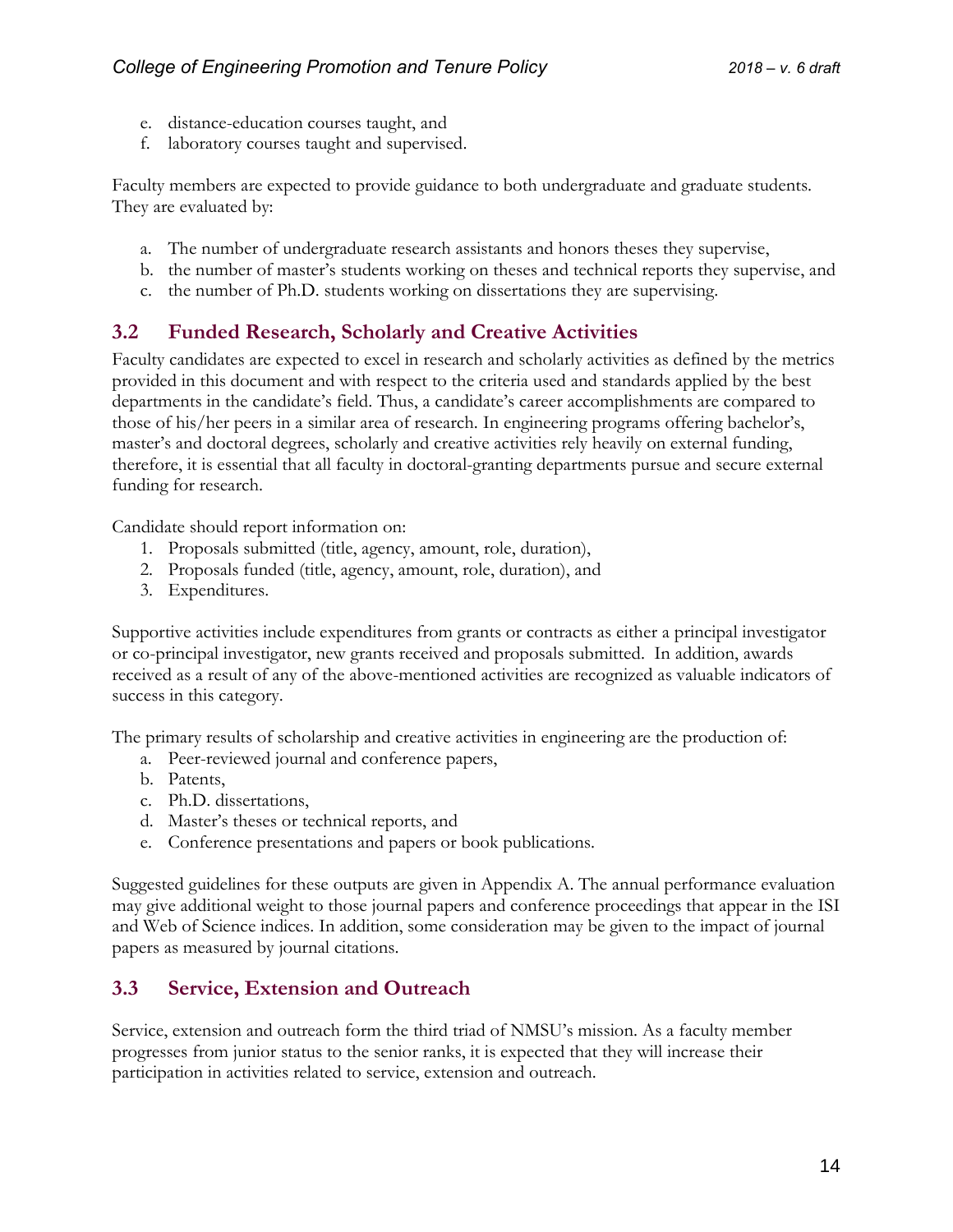- e. distance-education courses taught, and
- f. laboratory courses taught and supervised.

Faculty members are expected to provide guidance to both undergraduate and graduate students. They are evaluated by:

- a. The number of undergraduate research assistants and honors theses they supervise,
- b. the number of master's students working on theses and technical reports they supervise, and
- c. the number of Ph.D. students working on dissertations they are supervising.

### <span id="page-13-0"></span>**3.2 Funded Research, Scholarly and Creative Activities**

Faculty candidates are expected to excel in research and scholarly activities as defined by the metrics provided in this document and with respect to the criteria used and standards applied by the best departments in the candidate's field. Thus, a candidate's career accomplishments are compared to those of his/her peers in a similar area of research. In engineering programs offering bachelor's, master's and doctoral degrees, scholarly and creative activities rely heavily on external funding, therefore, it is essential that all faculty in doctoral-granting departments pursue and secure external funding for research.

Candidate should report information on:

- 1. Proposals submitted (title, agency, amount, role, duration),
- 2. Proposals funded (title, agency, amount, role, duration), and
- 3. Expenditures.

Supportive activities include expenditures from grants or contracts as either a principal investigator or co-principal investigator, new grants received and proposals submitted. In addition, awards received as a result of any of the above-mentioned activities are recognized as valuable indicators of success in this category.

The primary results of scholarship and creative activities in engineering are the production of:

- a. Peer-reviewed journal and conference papers,
- b. Patents,
- c. Ph.D. dissertations,
- d. Master's theses or technical reports, and
- e. Conference presentations and papers or book publications.

Suggested guidelines for these outputs are given in Appendix A. The annual performance evaluation may give additional weight to those journal papers and conference proceedings that appear in the ISI and Web of Science indices. In addition, some consideration may be given to the impact of journal papers as measured by journal citations.

#### <span id="page-13-1"></span>**3.3 Service, Extension and Outreach**

Service, extension and outreach form the third triad of NMSU's mission. As a faculty member progresses from junior status to the senior ranks, it is expected that they will increase their participation in activities related to service, extension and outreach.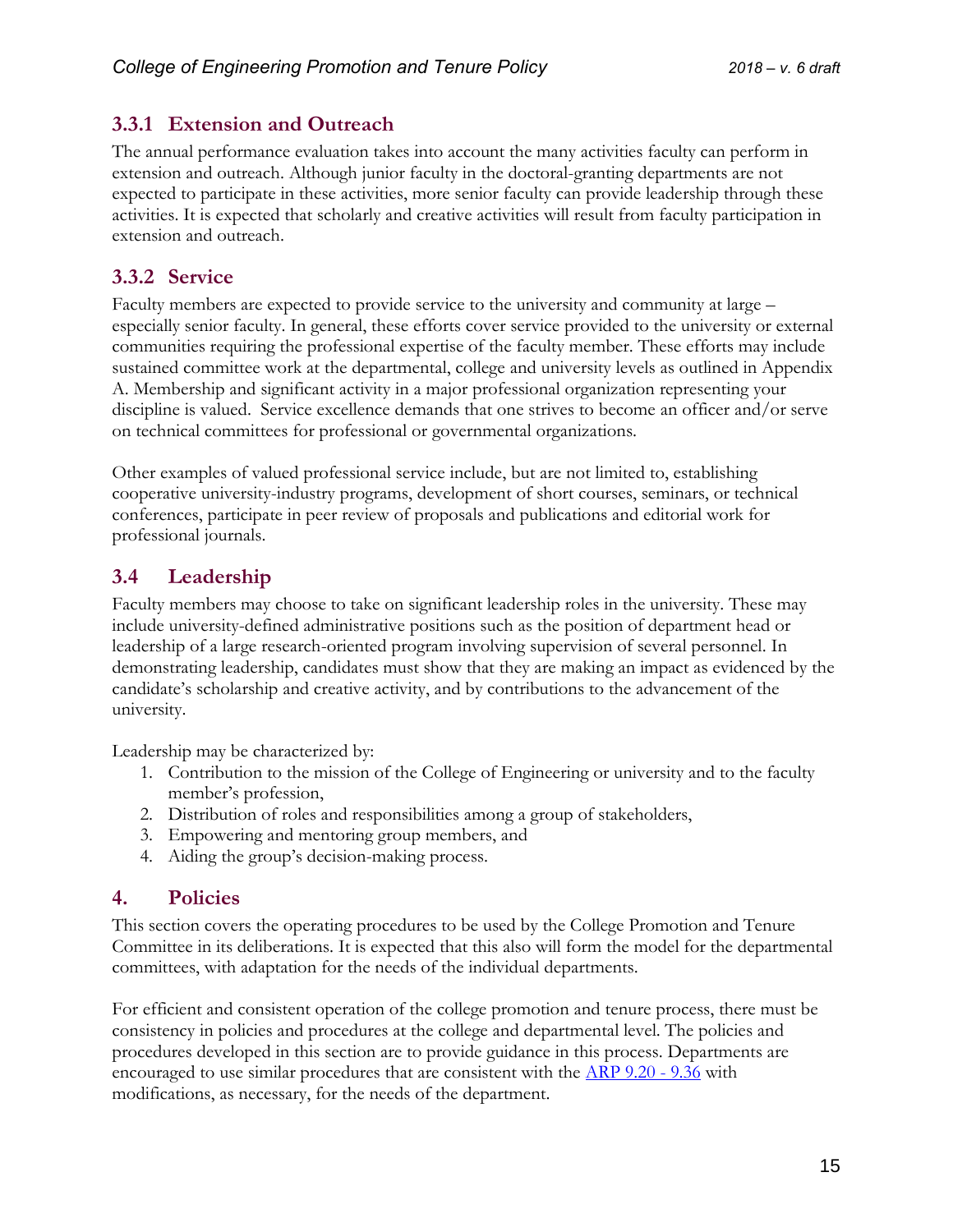## <span id="page-14-0"></span>**3.3.1 Extension and Outreach**

The annual performance evaluation takes into account the many activities faculty can perform in extension and outreach. Although junior faculty in the doctoral-granting departments are not expected to participate in these activities, more senior faculty can provide leadership through these activities. It is expected that scholarly and creative activities will result from faculty participation in extension and outreach.

## <span id="page-14-1"></span>**3.3.2 Service**

Faculty members are expected to provide service to the university and community at large – especially senior faculty. In general, these efforts cover service provided to the university or external communities requiring the professional expertise of the faculty member. These efforts may include sustained committee work at the departmental, college and university levels as outlined in Appendix A. Membership and significant activity in a major professional organization representing your discipline is valued. Service excellence demands that one strives to become an officer and/or serve on technical committees for professional or governmental organizations.

Other examples of valued professional service include, but are not limited to, establishing cooperative university-industry programs, development of short courses, seminars, or technical conferences, participate in peer review of proposals and publications and editorial work for professional journals.

# <span id="page-14-2"></span>**3.4 Leadership**

Faculty members may choose to take on significant leadership roles in the university. These may include university-defined administrative positions such as the position of department head or leadership of a large research-oriented program involving supervision of several personnel. In demonstrating leadership, candidates must show that they are making an impact as evidenced by the candidate's scholarship and creative activity, and by contributions to the advancement of the university.

Leadership may be characterized by:

- 1. Contribution to the mission of the College of Engineering or university and to the faculty member's profession,
- 2. Distribution of roles and responsibilities among a group of stakeholders,
- 3. Empowering and mentoring group members, and
- 4. Aiding the group's decision-making process.

#### <span id="page-14-3"></span>**4. Policies**

This section covers the operating procedures to be used by the College Promotion and Tenure Committee in its deliberations. It is expected that this also will form the model for the departmental committees, with adaptation for the needs of the individual departments.

For efficient and consistent operation of the college promotion and tenure process, there must be consistency in policies and procedures at the college and departmental level. The policies and procedures developed in this section are to provide guidance in this process. Departments are encouraged to use similar procedures that are consistent with the [ARP 9.20 -](https://arp.nmsu.edu/chapter-9/) 9.36 with modifications, as necessary, for the needs of the department.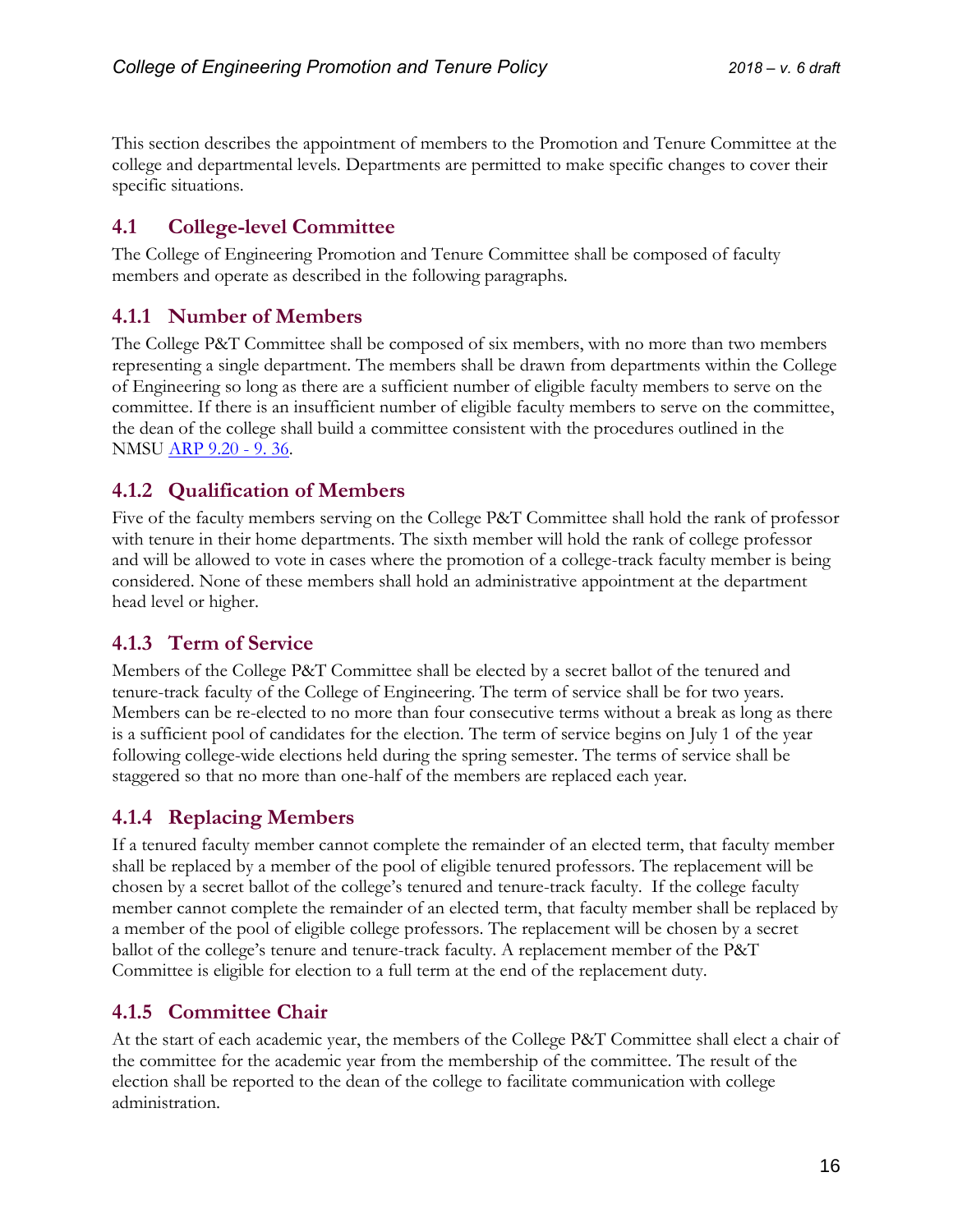This section describes the appointment of members to the Promotion and Tenure Committee at the college and departmental levels. Departments are permitted to make specific changes to cover their specific situations.

# <span id="page-15-0"></span>**4.1 College-level Committee**

The College of Engineering Promotion and Tenure Committee shall be composed of faculty members and operate as described in the following paragraphs.

# <span id="page-15-1"></span>**4.1.1 Number of Members**

The College P&T Committee shall be composed of six members, with no more than two members representing a single department. The members shall be drawn from departments within the College of Engineering so long as there are a sufficient number of eligible faculty members to serve on the committee. If there is an insufficient number of eligible faculty members to serve on the committee, the dean of the college shall build a committee consistent with the procedures outlined in the NMSU [ARP 9.20 -](https://arp.nmsu.edu/chapter-9/) 9. 36.

# <span id="page-15-2"></span>**4.1.2 Qualification of Members**

Five of the faculty members serving on the College P&T Committee shall hold the rank of professor with tenure in their home departments. The sixth member will hold the rank of college professor and will be allowed to vote in cases where the promotion of a college-track faculty member is being considered. None of these members shall hold an administrative appointment at the department head level or higher.

# <span id="page-15-3"></span>**4.1.3 Term of Service**

Members of the College P&T Committee shall be elected by a secret ballot of the tenured and tenure-track faculty of the College of Engineering. The term of service shall be for two years. Members can be re-elected to no more than four consecutive terms without a break as long as there is a sufficient pool of candidates for the election. The term of service begins on July 1 of the year following college-wide elections held during the spring semester. The terms of service shall be staggered so that no more than one-half of the members are replaced each year.

# <span id="page-15-4"></span>**4.1.4 Replacing Members**

If a tenured faculty member cannot complete the remainder of an elected term, that faculty member shall be replaced by a member of the pool of eligible tenured professors. The replacement will be chosen by a secret ballot of the college's tenured and tenure-track faculty. If the college faculty member cannot complete the remainder of an elected term, that faculty member shall be replaced by a member of the pool of eligible college professors. The replacement will be chosen by a secret ballot of the college's tenure and tenure-track faculty. A replacement member of the P&T Committee is eligible for election to a full term at the end of the replacement duty.

# <span id="page-15-5"></span>**4.1.5 Committee Chair**

At the start of each academic year, the members of the College P&T Committee shall elect a chair of the committee for the academic year from the membership of the committee. The result of the election shall be reported to the dean of the college to facilitate communication with college administration.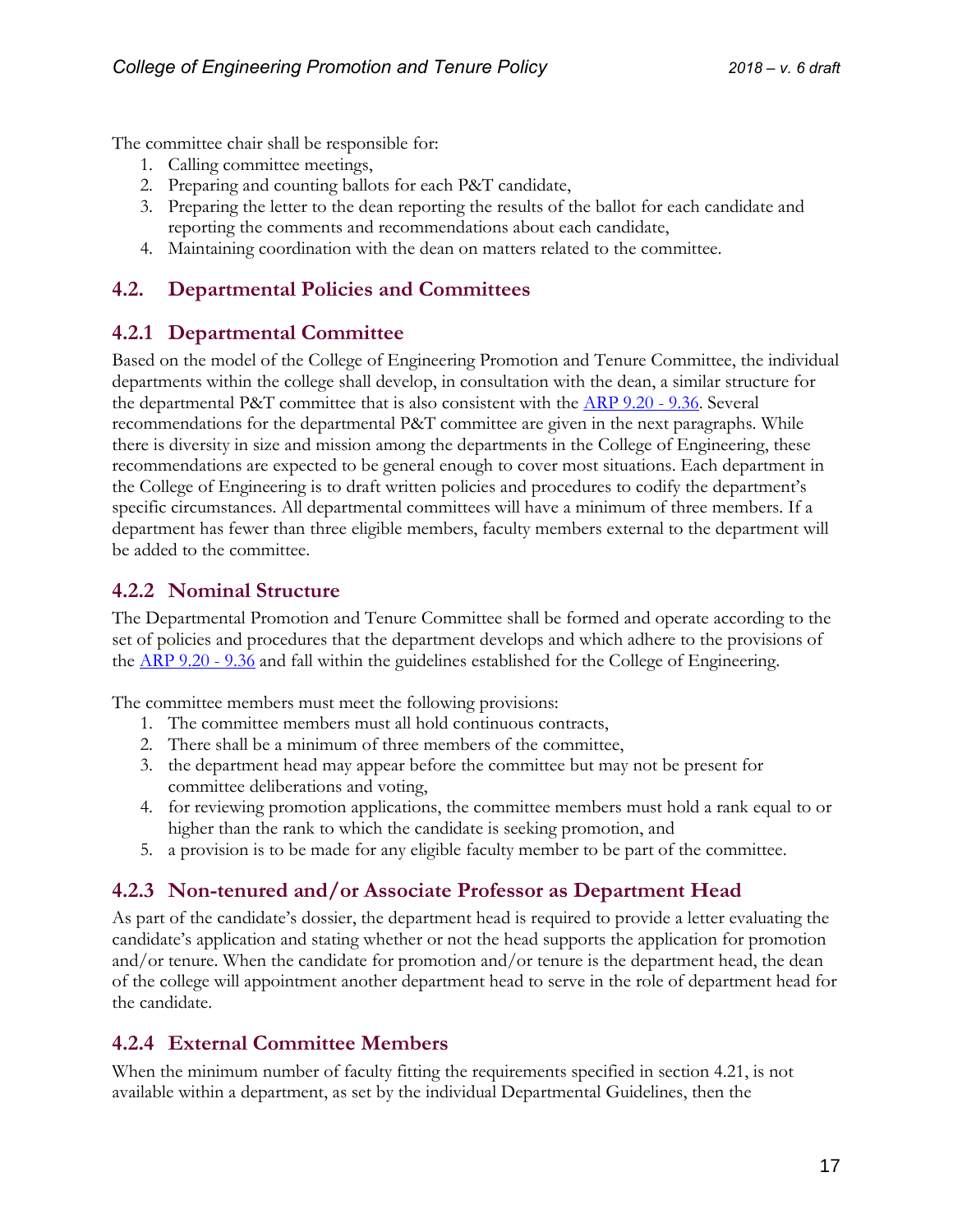The committee chair shall be responsible for:

- 1. Calling committee meetings,
- 2. Preparing and counting ballots for each P&T candidate,
- 3. Preparing the letter to the dean reporting the results of the ballot for each candidate and reporting the comments and recommendations about each candidate,
- 4. Maintaining coordination with the dean on matters related to the committee.

## <span id="page-16-0"></span>**4.2. Departmental Policies and Committees**

### <span id="page-16-1"></span>**4.2.1 Departmental Committee**

Based on the model of the College of Engineering Promotion and Tenure Committee, the individual departments within the college shall develop, in consultation with the dean, a similar structure for the departmental P&T committee that is also consistent with the  $\overline{ARP}$  9.20 - 9.36. Several recommendations for the departmental P&T committee are given in the next paragraphs. While there is diversity in size and mission among the departments in the College of Engineering, these recommendations are expected to be general enough to cover most situations. Each department in the College of Engineering is to draft written policies and procedures to codify the department's specific circumstances. All departmental committees will have a minimum of three members. If a department has fewer than three eligible members, faculty members external to the department will be added to the committee.

### <span id="page-16-2"></span>**4.2.2 Nominal Structure**

The Departmental Promotion and Tenure Committee shall be formed and operate according to the set of policies and procedures that the department develops and which adhere to the provisions of the <u>ARP 9.20 - 9.36</u> and fall within the guidelines established for the College of Engineering.

The committee members must meet the following provisions:

- 1. The committee members must all hold continuous contracts,
- 2. There shall be a minimum of three members of the committee,
- 3. the department head may appear before the committee but may not be present for committee deliberations and voting,
- 4. for reviewing promotion applications, the committee members must hold a rank equal to or higher than the rank to which the candidate is seeking promotion, and
- 5. a provision is to be made for any eligible faculty member to be part of the committee.

# <span id="page-16-3"></span>**4.2.3 Non-tenured and/or Associate Professor as Department Head**

As part of the candidate's dossier, the department head is required to provide a letter evaluating the candidate's application and stating whether or not the head supports the application for promotion and/or tenure. When the candidate for promotion and/or tenure is the department head, the dean of the college will appointment another department head to serve in the role of department head for the candidate.

# <span id="page-16-4"></span>**4.2.4 External Committee Members**

When the minimum number of faculty fitting the requirements specified in section 4.21, is not available within a department, as set by the individual Departmental Guidelines, then the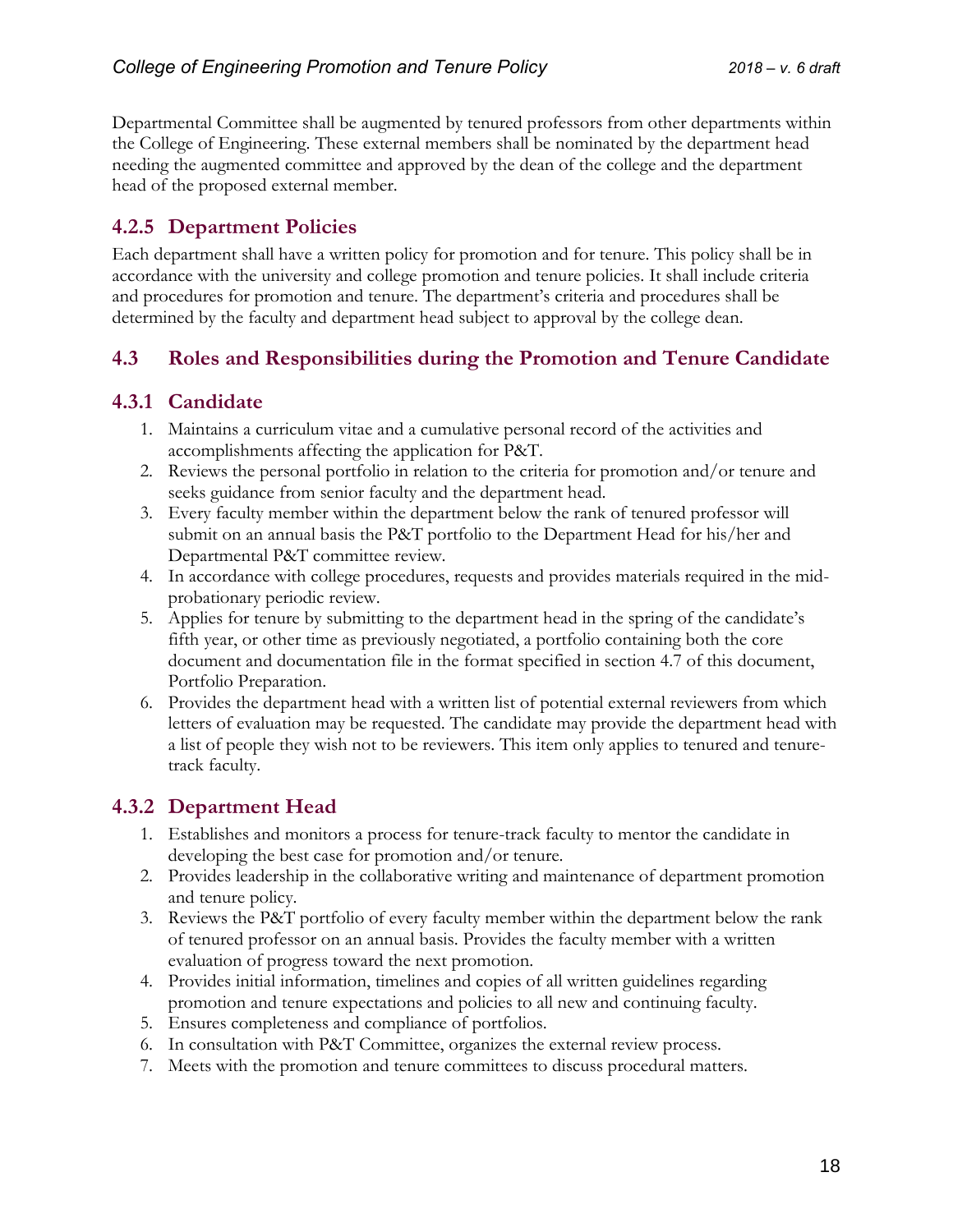Departmental Committee shall be augmented by tenured professors from other departments within the College of Engineering. These external members shall be nominated by the department head needing the augmented committee and approved by the dean of the college and the department head of the proposed external member.

# <span id="page-17-0"></span>**4.2.5 Department Policies**

Each department shall have a written policy for promotion and for tenure. This policy shall be in accordance with the university and college promotion and tenure policies. It shall include criteria and procedures for promotion and tenure. The department's criteria and procedures shall be determined by the faculty and department head subject to approval by the college dean.

# <span id="page-17-1"></span>**4.3 Roles and Responsibilities during the Promotion and Tenure Candidate**

# <span id="page-17-2"></span>**4.3.1 Candidate**

- 1. Maintains a curriculum vitae and a cumulative personal record of the activities and accomplishments affecting the application for P&T.
- 2. Reviews the personal portfolio in relation to the criteria for promotion and/or tenure and seeks guidance from senior faculty and the department head.
- 3. Every faculty member within the department below the rank of tenured professor will submit on an annual basis the P&T portfolio to the Department Head for his/her and Departmental P&T committee review.
- 4. In accordance with college procedures, requests and provides materials required in the midprobationary periodic review.
- 5. Applies for tenure by submitting to the department head in the spring of the candidate's fifth year, or other time as previously negotiated, a portfolio containing both the core document and documentation file in the format specified in section 4.7 of this document, Portfolio Preparation.
- 6. Provides the department head with a written list of potential external reviewers from which letters of evaluation may be requested. The candidate may provide the department head with a list of people they wish not to be reviewers. This item only applies to tenured and tenuretrack faculty.

# <span id="page-17-3"></span>**4.3.2 Department Head**

- 1. Establishes and monitors a process for tenure-track faculty to mentor the candidate in developing the best case for promotion and/or tenure.
- 2. Provides leadership in the collaborative writing and maintenance of department promotion and tenure policy.
- 3. Reviews the P&T portfolio of every faculty member within the department below the rank of tenured professor on an annual basis. Provides the faculty member with a written evaluation of progress toward the next promotion.
- 4. Provides initial information, timelines and copies of all written guidelines regarding promotion and tenure expectations and policies to all new and continuing faculty.
- 5. Ensures completeness and compliance of portfolios.
- 6. In consultation with P&T Committee, organizes the external review process.
- 7. Meets with the promotion and tenure committees to discuss procedural matters.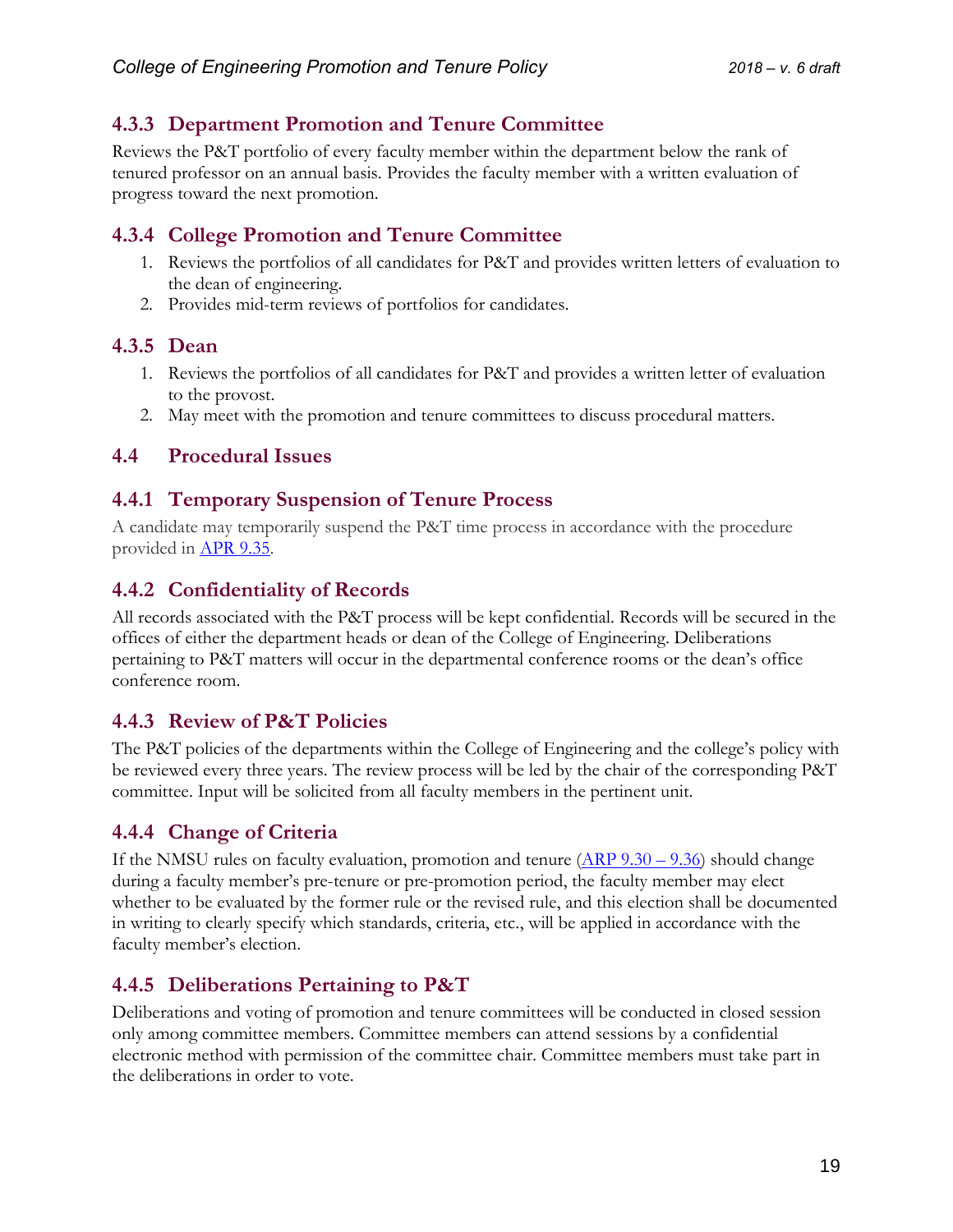# <span id="page-18-0"></span>**4.3.3 Department Promotion and Tenure Committee**

Reviews the P&T portfolio of every faculty member within the department below the rank of tenured professor on an annual basis. Provides the faculty member with a written evaluation of progress toward the next promotion.

# <span id="page-18-1"></span>**4.3.4 College Promotion and Tenure Committee**

- 1. Reviews the portfolios of all candidates for P&T and provides written letters of evaluation to the dean of engineering.
- 2. Provides mid-term reviews of portfolios for candidates.

### <span id="page-18-2"></span>**4.3.5 Dean**

- 1. Reviews the portfolios of all candidates for P&T and provides a written letter of evaluation to the provost.
- 2. May meet with the promotion and tenure committees to discuss procedural matters.

### <span id="page-18-3"></span>**4.4 Procedural Issues**

### <span id="page-18-4"></span>**4.4.1 Temporary Suspension of Tenure Process**

A candidate may temporarily suspend the P&T time process in accordance with the procedure provided in [APR 9.35.](https://arp.nmsu.edu/9-35/)

# <span id="page-18-5"></span>**4.4.2 Confidentiality of Records**

All records associated with the P&T process will be kept confidential. Records will be secured in the offices of either the department heads or dean of the College of Engineering. Deliberations pertaining to P&T matters will occur in the departmental conference rooms or the dean's office conference room.

# <span id="page-18-6"></span>**4.4.3 Review of P&T Policies**

The P&T policies of the departments within the College of Engineering and the college's policy with be reviewed every three years. The review process will be led by the chair of the corresponding P&T committee. Input will be solicited from all faculty members in the pertinent unit.

# <span id="page-18-7"></span>**4.4.4 Change of Criteria**

If the NMSU rules on faculty evaluation, promotion and tenure  $(\underline{ARP}\ 9.30 - 9.36)$  should change during a faculty member's pre-tenure or pre-promotion period, the faculty member may elect whether to be evaluated by the former rule or the revised rule, and this election shall be documented in writing to clearly specify which standards, criteria, etc., will be applied in accordance with the faculty member's election.

# <span id="page-18-8"></span>**4.4.5 Deliberations Pertaining to P&T**

Deliberations and voting of promotion and tenure committees will be conducted in closed session only among committee members. Committee members can attend sessions by a confidential electronic method with permission of the committee chair. Committee members must take part in the deliberations in order to vote.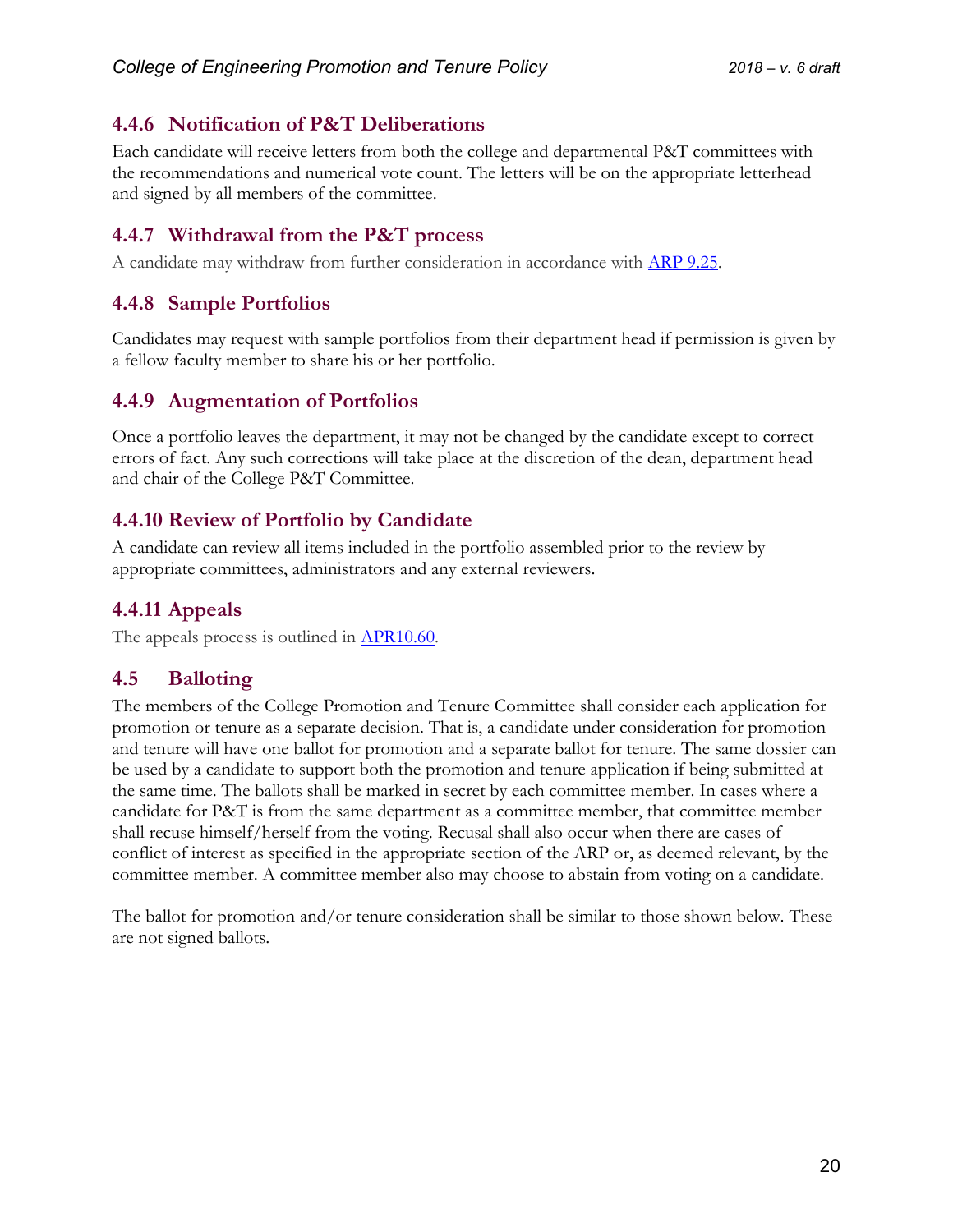# <span id="page-19-0"></span>**4.4.6 Notification of P&T Deliberations**

Each candidate will receive letters from both the college and departmental P&T committees with the recommendations and numerical vote count. The letters will be on the appropriate letterhead and signed by all members of the committee.

# <span id="page-19-1"></span>**4.4.7 Withdrawal from the P&T process**

A candidate may withdraw from further consideration in accordance with [ARP 9.25.](https://arp.nmsu.edu/9-25/)

# <span id="page-19-2"></span>**4.4.8 Sample Portfolios**

Candidates may request with sample portfolios from their department head if permission is given by a fellow faculty member to share his or her portfolio.

# <span id="page-19-3"></span>**4.4.9 Augmentation of Portfolios**

Once a portfolio leaves the department, it may not be changed by the candidate except to correct errors of fact. Any such corrections will take place at the discretion of the dean, department head and chair of the College P&T Committee.

# <span id="page-19-4"></span>**4.4.10 Review of Portfolio by Candidate**

A candidate can review all items included in the portfolio assembled prior to the review by appropriate committees, administrators and any external reviewers.

# <span id="page-19-5"></span>**4.4.11 Appeals**

The appeals process is outlined in **APR10.60**.

# <span id="page-19-6"></span>**4.5 Balloting**

The members of the College Promotion and Tenure Committee shall consider each application for promotion or tenure as a separate decision. That is, a candidate under consideration for promotion and tenure will have one ballot for promotion and a separate ballot for tenure. The same dossier can be used by a candidate to support both the promotion and tenure application if being submitted at the same time. The ballots shall be marked in secret by each committee member. In cases where a candidate for P&T is from the same department as a committee member, that committee member shall recuse himself/herself from the voting. Recusal shall also occur when there are cases of conflict of interest as specified in the appropriate section of the ARP or, as deemed relevant, by the committee member. A committee member also may choose to abstain from voting on a candidate.

The ballot for promotion and/or tenure consideration shall be similar to those shown below. These are not signed ballots.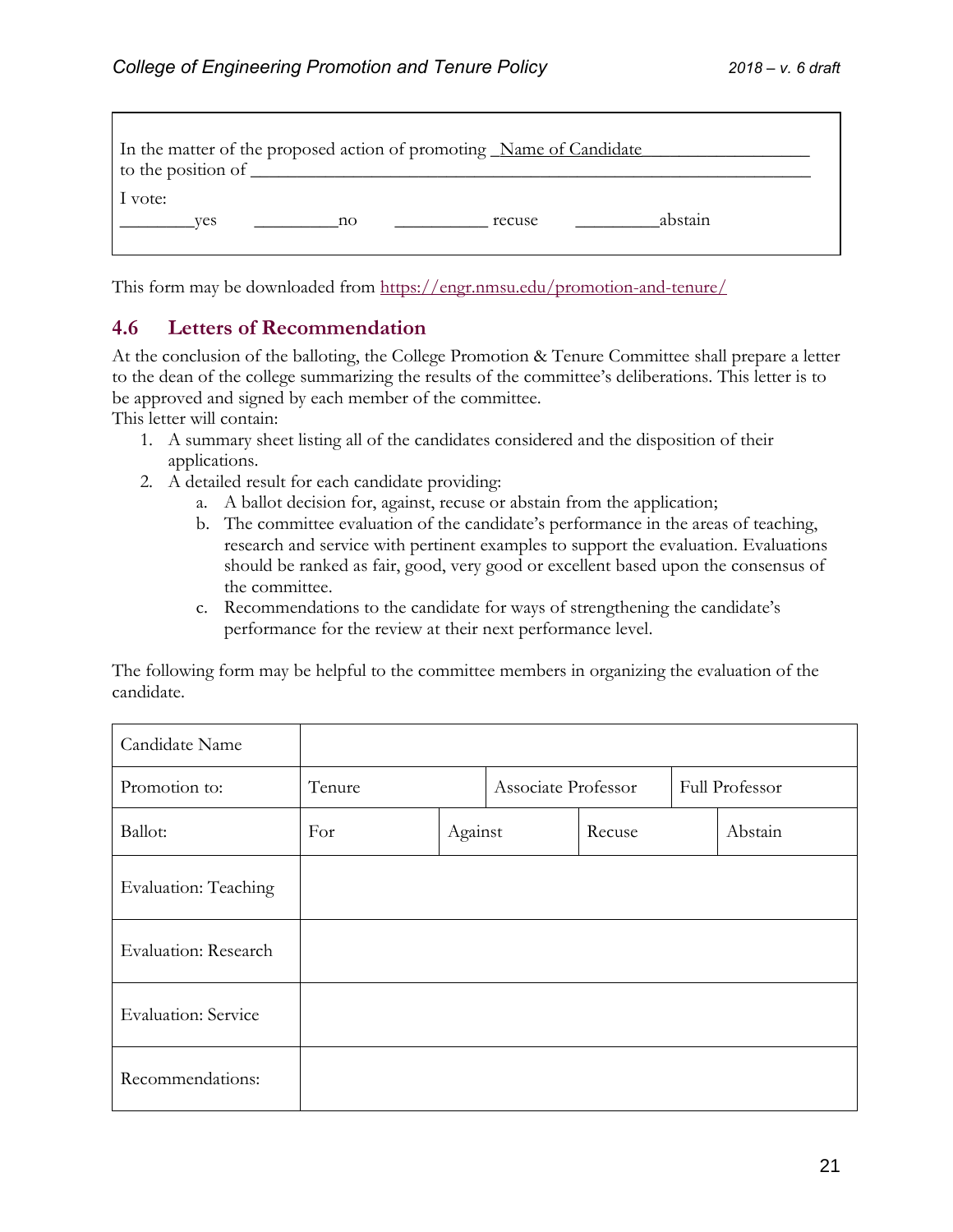| In the matter of the proposed action of promoting Name of Candidate<br>to the position of |  |
|-------------------------------------------------------------------------------------------|--|
| 1 vote:<br>abstain<br>recuse<br>ves<br>$\sim$ no                                          |  |

This form may be downloaded from<https://engr.nmsu.edu/promotion-and-tenure/>

#### <span id="page-20-0"></span>**4.6 Letters of Recommendation**

At the conclusion of the balloting, the College Promotion & Tenure Committee shall prepare a letter to the dean of the college summarizing the results of the committee's deliberations. This letter is to be approved and signed by each member of the committee.

This letter will contain:

- 1. A summary sheet listing all of the candidates considered and the disposition of their applications.
- 2. A detailed result for each candidate providing:
	- a. A ballot decision for, against, recuse or abstain from the application;
	- b. The committee evaluation of the candidate's performance in the areas of teaching, research and service with pertinent examples to support the evaluation. Evaluations should be ranked as fair, good, very good or excellent based upon the consensus of the committee.
	- c. Recommendations to the candidate for ways of strengthening the candidate's performance for the review at their next performance level.

The following form may be helpful to the committee members in organizing the evaluation of the candidate.

| Candidate Name             |        |         |                     |        |                |         |  |
|----------------------------|--------|---------|---------------------|--------|----------------|---------|--|
| Promotion to:              | Tenure |         | Associate Professor |        | Full Professor |         |  |
| Ballot:                    | For    | Against |                     | Recuse |                | Abstain |  |
| Evaluation: Teaching       |        |         |                     |        |                |         |  |
| Evaluation: Research       |        |         |                     |        |                |         |  |
| <b>Evaluation: Service</b> |        |         |                     |        |                |         |  |
| Recommendations:           |        |         |                     |        |                |         |  |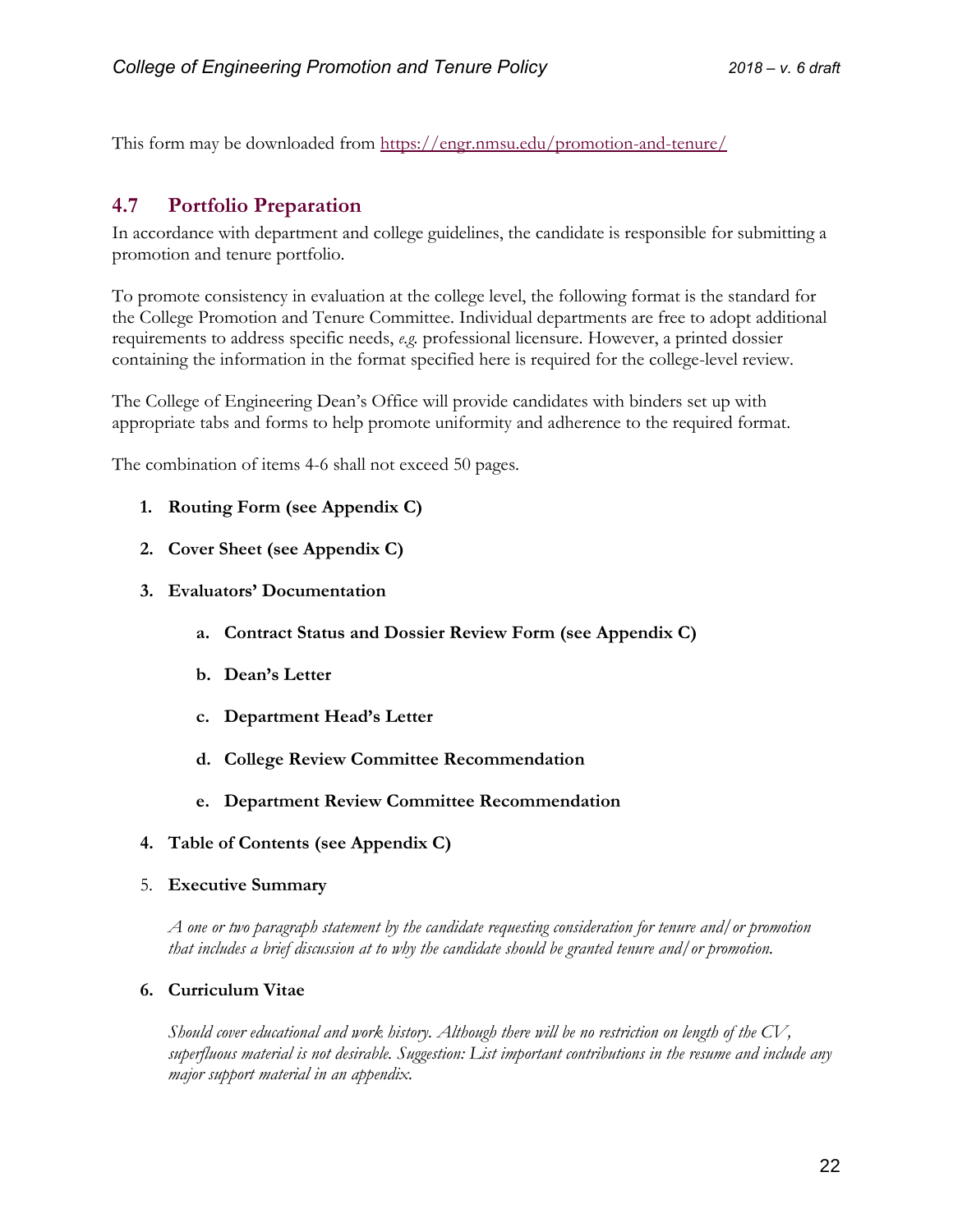This form may be downloaded from<https://engr.nmsu.edu/promotion-and-tenure/>

### <span id="page-21-0"></span>**4.7 Portfolio Preparation**

In accordance with department and college guidelines, the candidate is responsible for submitting a promotion and tenure portfolio.

To promote consistency in evaluation at the college level, the following format is the standard for the College Promotion and Tenure Committee. Individual departments are free to adopt additional requirements to address specific needs, *e.g.* professional licensure. However, a printed dossier containing the information in the format specified here is required for the college-level review.

The College of Engineering Dean's Office will provide candidates with binders set up with appropriate tabs and forms to help promote uniformity and adherence to the required format.

The combination of items 4-6 shall not exceed 50 pages.

- **1. Routing Form (see Appendix C)**
- **2. Cover Sheet (see Appendix C)**
- **3. Evaluators' Documentation** 
	- **a. Contract Status and Dossier Review Form (see Appendix C)**
	- **b. Dean's Letter**
	- **c. Department Head's Letter**
	- **d. College Review Committee Recommendation**
	- **e. Department Review Committee Recommendation**
- **4. Table of Contents (see Appendix C)**
- 5. **Executive Summary**

*A one or two paragraph statement by the candidate requesting consideration for tenure and/or promotion that includes a brief discussion at to why the candidate should be granted tenure and/or promotion.*

#### **6. Curriculum Vitae**

*Should cover educational and work history. Although there will be no restriction on length of the CV, superfluous material is not desirable. Suggestion: List important contributions in the resume and include any major support material in an appendix.*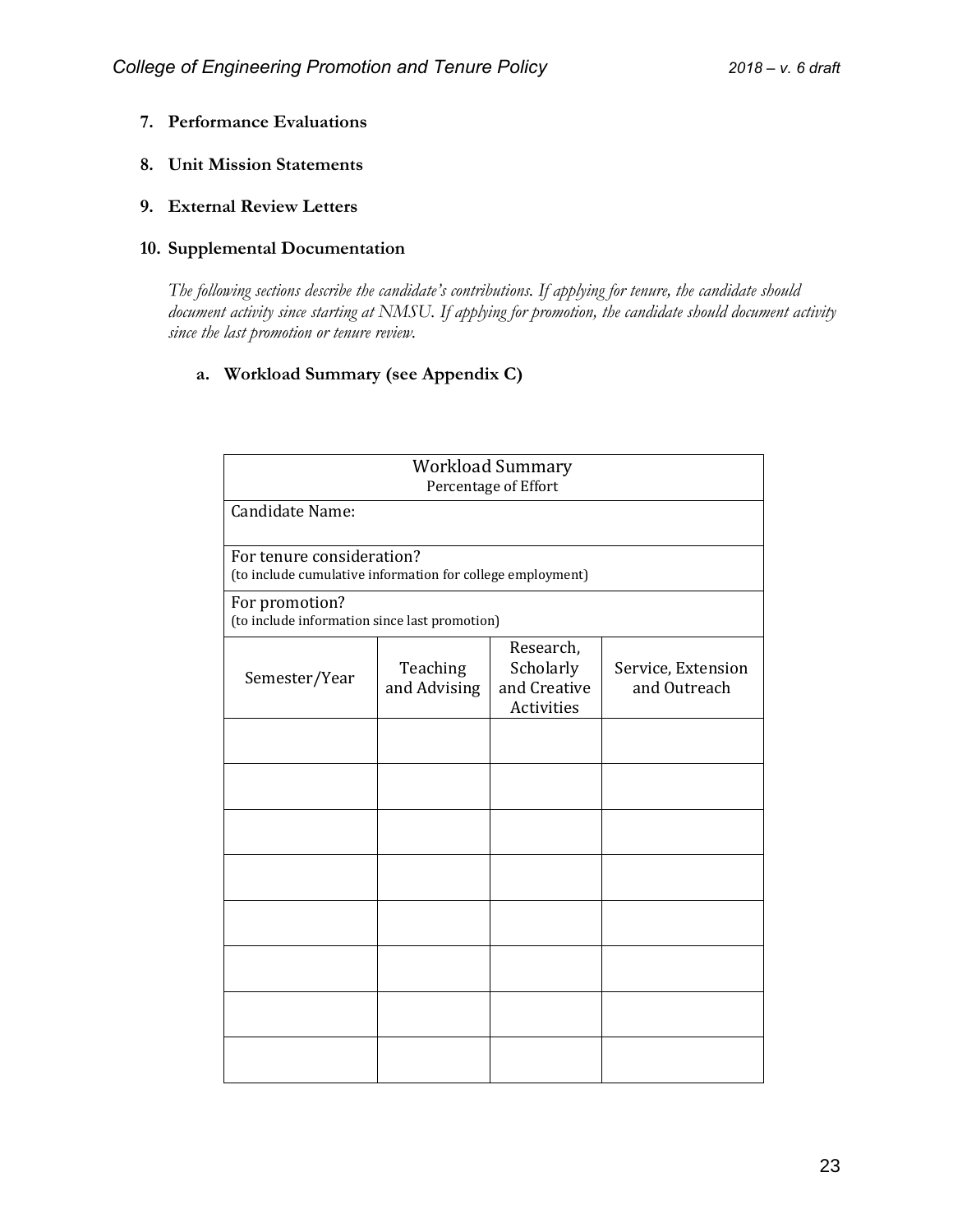- **7. Performance Evaluations**
- **8. Unit Mission Statements**
- **9. External Review Letters**

#### **10. Supplemental Documentation**

The following sections describe the candidate's contributions. If applying for tenure, the candidate should *document activity since starting at NMSU. If applying for promotion, the candidate should document activity since the last promotion or tenure review.* 

#### **a. Workload Summary (see Appendix C)**

|                                                                                         |                          | <b>Workload Summary</b><br>Percentage of Effort      |                                    |  |  |  |
|-----------------------------------------------------------------------------------------|--------------------------|------------------------------------------------------|------------------------------------|--|--|--|
| Candidate Name:                                                                         |                          |                                                      |                                    |  |  |  |
| For tenure consideration?<br>(to include cumulative information for college employment) |                          |                                                      |                                    |  |  |  |
| For promotion?<br>(to include information since last promotion)                         |                          |                                                      |                                    |  |  |  |
| Semester/Year                                                                           | Teaching<br>and Advising | Research,<br>Scholarly<br>and Creative<br>Activities | Service, Extension<br>and Outreach |  |  |  |
|                                                                                         |                          |                                                      |                                    |  |  |  |
|                                                                                         |                          |                                                      |                                    |  |  |  |
|                                                                                         |                          |                                                      |                                    |  |  |  |
|                                                                                         |                          |                                                      |                                    |  |  |  |
|                                                                                         |                          |                                                      |                                    |  |  |  |
|                                                                                         |                          |                                                      |                                    |  |  |  |
|                                                                                         |                          |                                                      |                                    |  |  |  |
|                                                                                         |                          |                                                      |                                    |  |  |  |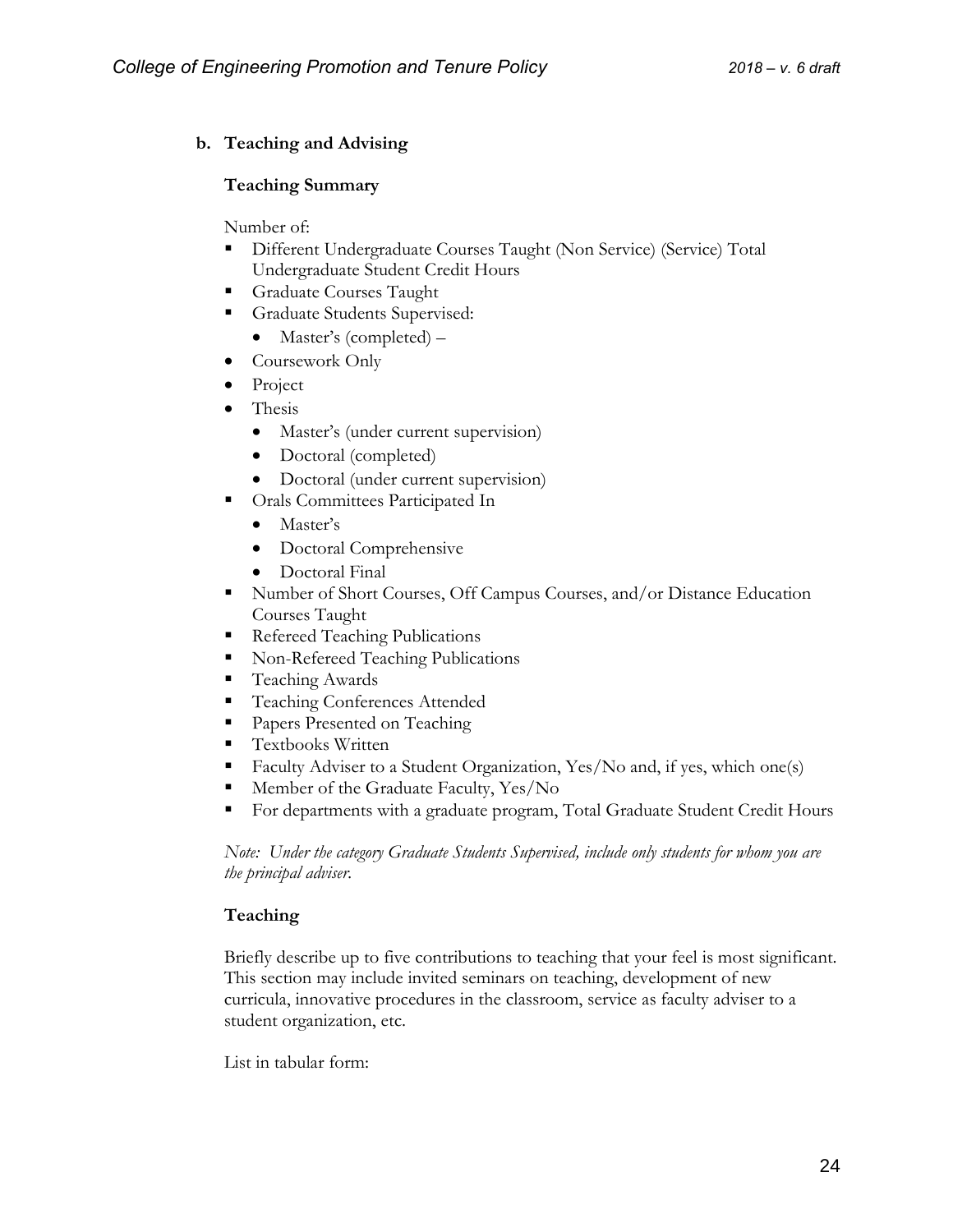#### **b. Teaching and Advising**

#### **Teaching Summary**

Number of:

- Different Undergraduate Courses Taught (Non Service) (Service) Total Undergraduate Student Credit Hours
- **Graduate Courses Taught**
- **Graduate Students Supervised:** 
	- Master's (completed) –
- Coursework Only
- Project
- Thesis
	- Master's (under current supervision)
	- Doctoral (completed)
	- Doctoral (under current supervision)
- **Cals Committees Participated In** 
	- Master's
	- Doctoral Comprehensive
	- Doctoral Final
- Number of Short Courses, Off Campus Courses, and/or Distance Education Courses Taught
- Refereed Teaching Publications
- Non-Refereed Teaching Publications
- Teaching Awards
- **Teaching Conferences Attended**
- **Papers Presented on Teaching**
- **Textbooks Written**
- Faculty Adviser to a Student Organization, Yes/No and, if yes, which one(s)
- Member of the Graduate Faculty, Yes/No
- For departments with a graduate program, Total Graduate Student Credit Hours

*Note: Under the category Graduate Students Supervised, include only students for whom you are the principal adviser.*

#### **Teaching**

Briefly describe up to five contributions to teaching that your feel is most significant. This section may include invited seminars on teaching, development of new curricula, innovative procedures in the classroom, service as faculty adviser to a student organization, etc.

List in tabular form: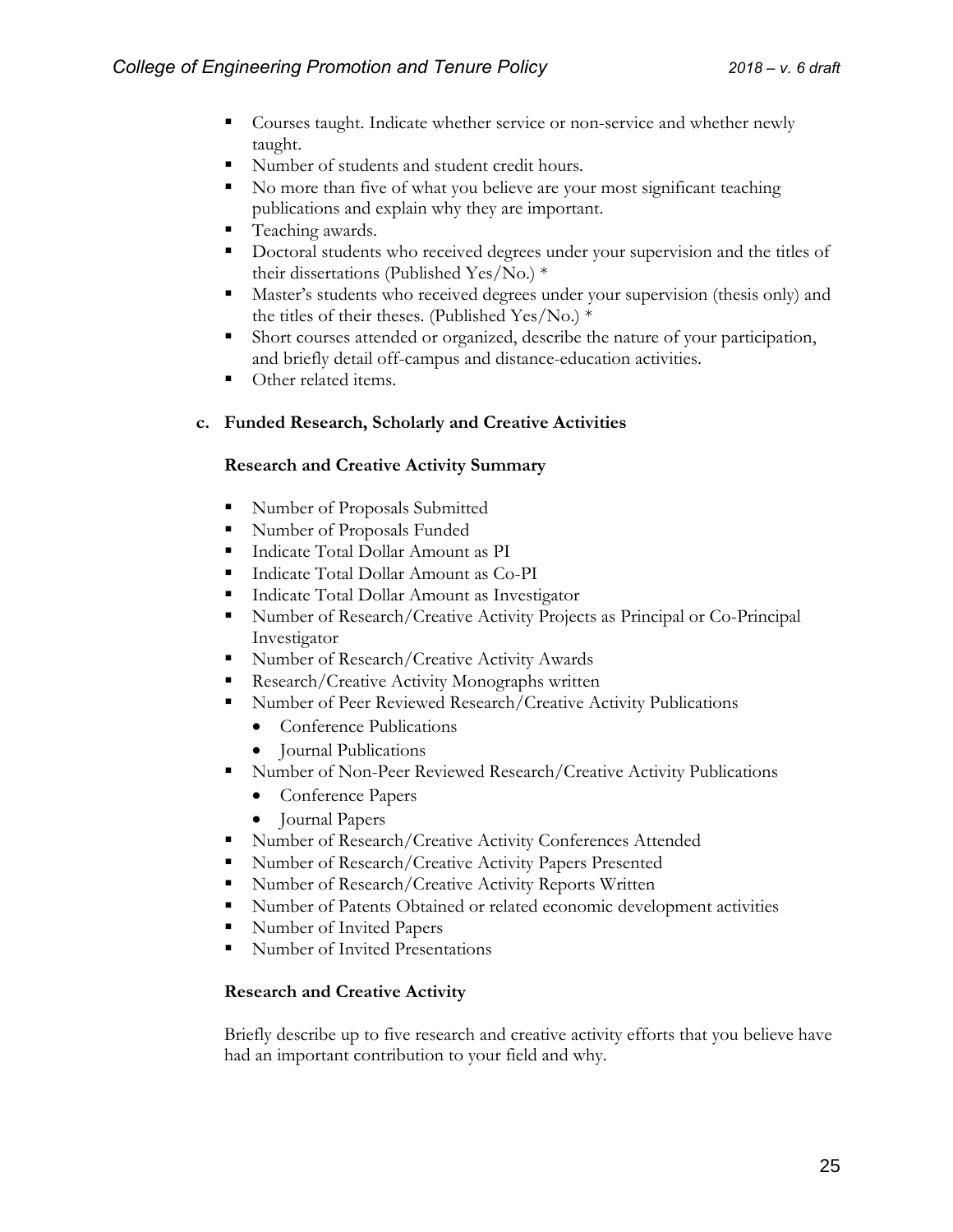- Courses taught. Indicate whether service or non-service and whether newly taught.
- Number of students and student credit hours.
- No more than five of what you believe are your most significant teaching publications and explain why they are important.
- Teaching awards.
- Doctoral students who received degrees under your supervision and the titles of their dissertations (Published Yes/No.) \*
- Master's students who received degrees under your supervision (thesis only) and the titles of their theses. (Published Yes/No.) \*
- Short courses attended or organized, describe the nature of your participation, and briefly detail off-campus and distance-education activities.
- Other related items.

#### **c. Funded Research, Scholarly and Creative Activities**

#### **Research and Creative Activity Summary**

- Number of Proposals Submitted
- **Number of Proposals Funded**
- Indicate Total Dollar Amount as PI
- Indicate Total Dollar Amount as Co-PI
- **Indicate Total Dollar Amount as Investigator**
- Number of Research/Creative Activity Projects as Principal or Co-Principal Investigator
- Number of Research/Creative Activity Awards
- Research/Creative Activity Monographs written
- Number of Peer Reviewed Research/Creative Activity Publications
	- Conference Publications
	- Journal Publications
- Number of Non-Peer Reviewed Research/Creative Activity Publications
	- Conference Papers
	- Journal Papers
- Number of Research/Creative Activity Conferences Attended
- Number of Research/Creative Activity Papers Presented
- Number of Research/Creative Activity Reports Written
- Number of Patents Obtained or related economic development activities
- Number of Invited Papers
- Number of Invited Presentations

#### **Research and Creative Activity**

Briefly describe up to five research and creative activity efforts that you believe have had an important contribution to your field and why.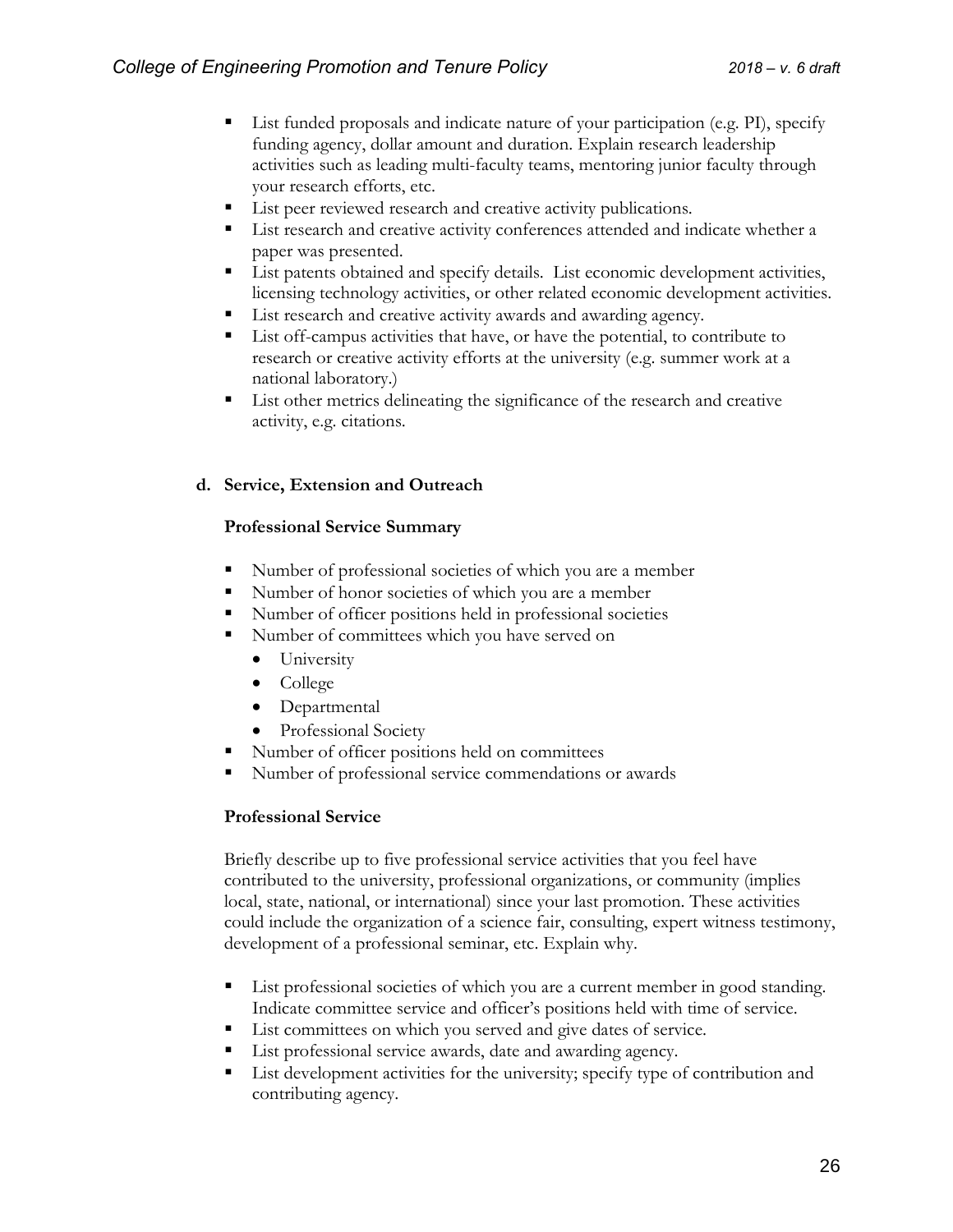- List funded proposals and indicate nature of your participation (e.g. PI), specify funding agency, dollar amount and duration. Explain research leadership activities such as leading multi-faculty teams, mentoring junior faculty through your research efforts, etc.
- List peer reviewed research and creative activity publications.
- **List research and creative activity conferences attended and indicate whether a** paper was presented.
- **EXECUTE:** List patents obtained and specify details. List economic development activities, licensing technology activities, or other related economic development activities.
- List research and creative activity awards and awarding agency.
- List off-campus activities that have, or have the potential, to contribute to research or creative activity efforts at the university (e.g. summer work at a national laboratory.)
- List other metrics delineating the significance of the research and creative activity, e.g. citations.

#### **d. Service, Extension and Outreach**

#### **Professional Service Summary**

- Number of professional societies of which you are a member
- Number of honor societies of which you are a member
- Number of officer positions held in professional societies
- Number of committees which you have served on
	- University
	- College
	- Departmental
	- Professional Society
- Number of officer positions held on committees
- Number of professional service commendations or awards

#### **Professional Service**

Briefly describe up to five professional service activities that you feel have contributed to the university, professional organizations, or community (implies local, state, national, or international) since your last promotion. These activities could include the organization of a science fair, consulting, expert witness testimony, development of a professional seminar, etc. Explain why.

- **EXECUTE:** List professional societies of which you are a current member in good standing. Indicate committee service and officer's positions held with time of service.
- List committees on which you served and give dates of service.
- List professional service awards, date and awarding agency.
- List development activities for the university; specify type of contribution and contributing agency.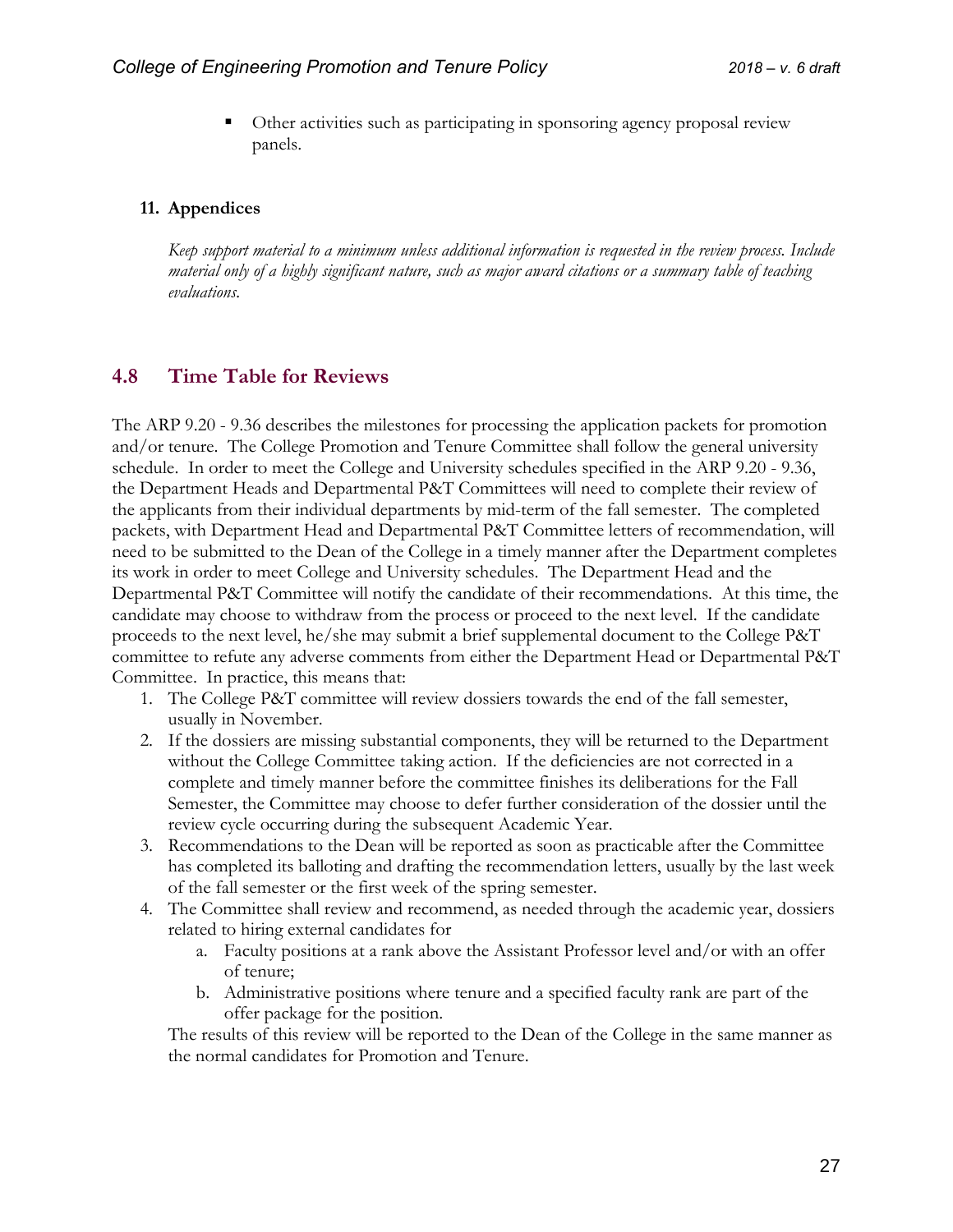Other activities such as participating in sponsoring agency proposal review panels.

#### **11. Appendices**

*Keep support material to a minimum unless additional information is requested in the review process. Include material only of a highly significant nature, such as major award citations or a summary table of teaching evaluations.*

#### <span id="page-26-0"></span>**4.8 Time Table for Reviews**

The ARP 9.20 - 9.36 describes the milestones for processing the application packets for promotion and/or tenure. The College Promotion and Tenure Committee shall follow the general university schedule. In order to meet the College and University schedules specified in the ARP 9.20 - 9.36, the Department Heads and Departmental P&T Committees will need to complete their review of the applicants from their individual departments by mid-term of the fall semester. The completed packets, with Department Head and Departmental P&T Committee letters of recommendation, will need to be submitted to the Dean of the College in a timely manner after the Department completes its work in order to meet College and University schedules. The Department Head and the Departmental P&T Committee will notify the candidate of their recommendations. At this time, the candidate may choose to withdraw from the process or proceed to the next level. If the candidate proceeds to the next level, he/she may submit a brief supplemental document to the College P&T committee to refute any adverse comments from either the Department Head or Departmental P&T Committee. In practice, this means that:

- 1. The College P&T committee will review dossiers towards the end of the fall semester, usually in November.
- 2. If the dossiers are missing substantial components, they will be returned to the Department without the College Committee taking action. If the deficiencies are not corrected in a complete and timely manner before the committee finishes its deliberations for the Fall Semester, the Committee may choose to defer further consideration of the dossier until the review cycle occurring during the subsequent Academic Year.
- 3. Recommendations to the Dean will be reported as soon as practicable after the Committee has completed its balloting and drafting the recommendation letters, usually by the last week of the fall semester or the first week of the spring semester.
- 4. The Committee shall review and recommend, as needed through the academic year, dossiers related to hiring external candidates for
	- a. Faculty positions at a rank above the Assistant Professor level and/or with an offer of tenure;
	- b. Administrative positions where tenure and a specified faculty rank are part of the offer package for the position.

The results of this review will be reported to the Dean of the College in the same manner as the normal candidates for Promotion and Tenure.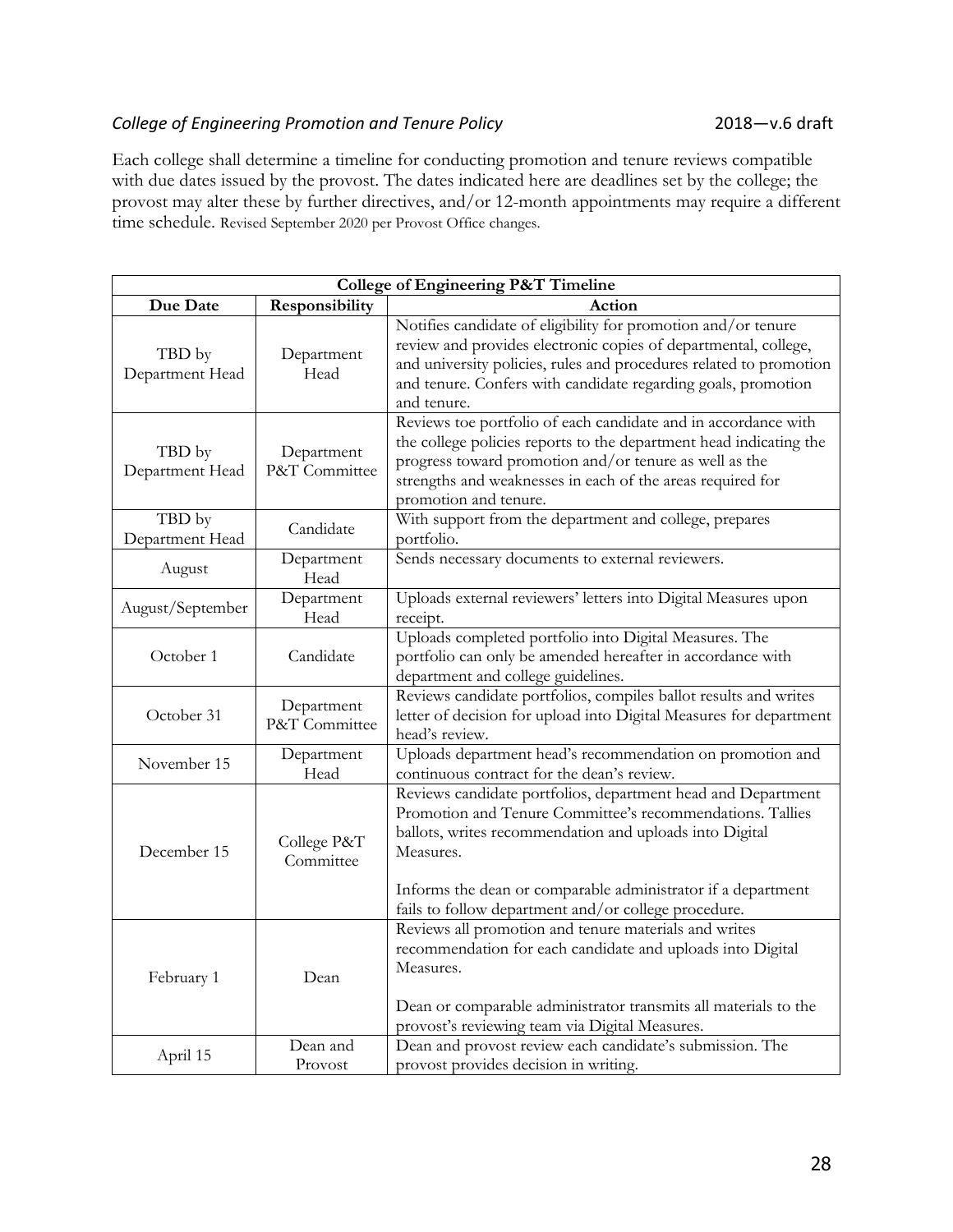#### College of Engineering Promotion and Tenure Policy **2018** 2018 - v.6 draft

Each college shall determine a timeline for conducting promotion and tenure reviews compatible with due dates issued by the provost. The dates indicated here are deadlines set by the college; the provost may alter these by further directives, and/or 12-month appointments may require a different time schedule. Revised September 2020 per Provost Office changes.

|                           |                             | <b>College of Engineering P&amp;T Timeline</b>                                                                                                                                                                                                                                                                            |
|---------------------------|-----------------------------|---------------------------------------------------------------------------------------------------------------------------------------------------------------------------------------------------------------------------------------------------------------------------------------------------------------------------|
| Due Date                  | Responsibility              | Action                                                                                                                                                                                                                                                                                                                    |
| TBD by<br>Department Head | Department<br>Head          | Notifies candidate of eligibility for promotion and/or tenure<br>review and provides electronic copies of departmental, college,<br>and university policies, rules and procedures related to promotion<br>and tenure. Confers with candidate regarding goals, promotion<br>and tenure.                                    |
| TBD by<br>Department Head | Department<br>P&T Committee | Reviews toe portfolio of each candidate and in accordance with<br>the college policies reports to the department head indicating the<br>progress toward promotion and/or tenure as well as the<br>strengths and weaknesses in each of the areas required for<br>promotion and tenure.                                     |
| TBD by<br>Department Head | Candidate                   | With support from the department and college, prepares<br>portfolio.                                                                                                                                                                                                                                                      |
| August                    | Department<br>Head          | Sends necessary documents to external reviewers.                                                                                                                                                                                                                                                                          |
| August/September          | Department<br>Head          | Uploads external reviewers' letters into Digital Measures upon<br>receipt.                                                                                                                                                                                                                                                |
| October 1                 | Candidate                   | Uploads completed portfolio into Digital Measures. The<br>portfolio can only be amended hereafter in accordance with<br>department and college guidelines.                                                                                                                                                                |
| October 31                | Department<br>P&T Committee | Reviews candidate portfolios, compiles ballot results and writes<br>letter of decision for upload into Digital Measures for department<br>head's review.                                                                                                                                                                  |
| November 15               | Department<br>Head          | Uploads department head's recommendation on promotion and<br>continuous contract for the dean's review.                                                                                                                                                                                                                   |
| December 15               | College P&T<br>Committee    | Reviews candidate portfolios, department head and Department<br>Promotion and Tenure Committee's recommendations. Tallies<br>ballots, writes recommendation and uploads into Digital<br>Measures.<br>Informs the dean or comparable administrator if a department<br>fails to follow department and/or college procedure. |
| February 1                | Dean                        | Reviews all promotion and tenure materials and writes<br>recommendation for each candidate and uploads into Digital<br>Measures.<br>Dean or comparable administrator transmits all materials to the<br>provost's reviewing team via Digital Measures.                                                                     |
| April 15                  | Dean and<br>Provost         | Dean and provost review each candidate's submission. The<br>provost provides decision in writing.                                                                                                                                                                                                                         |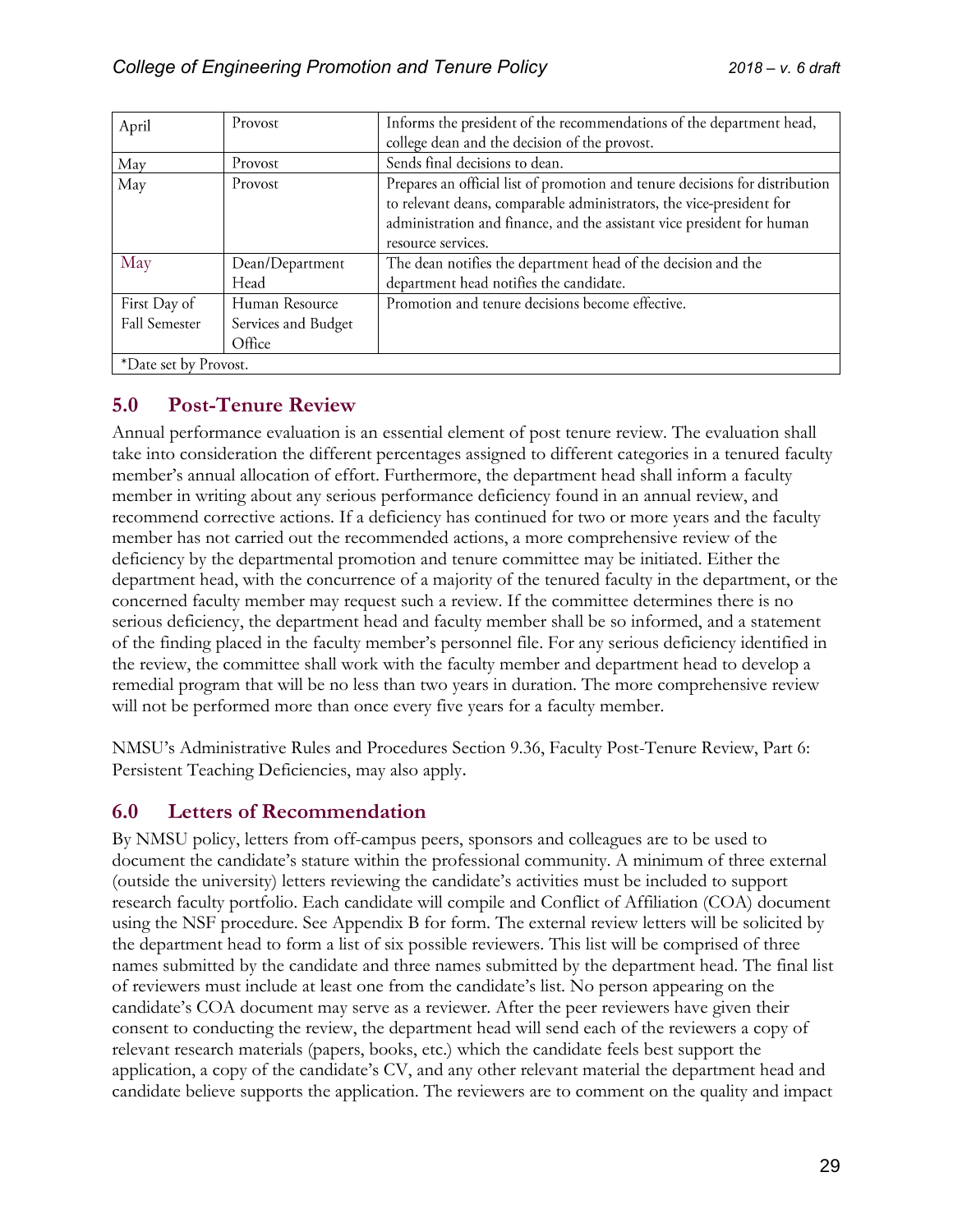| April                 | Provost             | Informs the president of the recommendations of the department head,         |
|-----------------------|---------------------|------------------------------------------------------------------------------|
|                       |                     | college dean and the decision of the provost.                                |
| May                   | Provost             | Sends final decisions to dean.                                               |
| May                   | Provost             | Prepares an official list of promotion and tenure decisions for distribution |
|                       |                     | to relevant deans, comparable administrators, the vice-president for         |
|                       |                     | administration and finance, and the assistant vice president for human       |
|                       |                     | resource services.                                                           |
| May                   | Dean/Department     | The dean notifies the department head of the decision and the                |
|                       | Head                | department head notifies the candidate.                                      |
| First Day of          | Human Resource      | Promotion and tenure decisions become effective.                             |
| <b>Fall Semester</b>  | Services and Budget |                                                                              |
|                       | Office              |                                                                              |
| *Date set by Provost. |                     |                                                                              |

# <span id="page-28-0"></span>**5.0 Post-Tenure Review**

Annual performance evaluation is an essential element of post tenure review. The evaluation shall take into consideration the different percentages assigned to different categories in a tenured faculty member's annual allocation of effort. Furthermore, the department head shall inform a faculty member in writing about any serious performance deficiency found in an annual review, and recommend corrective actions. If a deficiency has continued for two or more years and the faculty member has not carried out the recommended actions, a more comprehensive review of the deficiency by the departmental promotion and tenure committee may be initiated. Either the department head, with the concurrence of a majority of the tenured faculty in the department, or the concerned faculty member may request such a review. If the committee determines there is no serious deficiency, the department head and faculty member shall be so informed, and a statement of the finding placed in the faculty member's personnel file. For any serious deficiency identified in the review, the committee shall work with the faculty member and department head to develop a remedial program that will be no less than two years in duration. The more comprehensive review will not be performed more than once every five years for a faculty member.

NMSU's Administrative Rules and Procedures Section 9.36, Faculty Post-Tenure Review, Part 6: Persistent Teaching Deficiencies, may also apply.

# <span id="page-28-1"></span>**6.0 Letters of Recommendation**

By NMSU policy, letters from off-campus peers, sponsors and colleagues are to be used to document the candidate's stature within the professional community. A minimum of three external (outside the university) letters reviewing the candidate's activities must be included to support research faculty portfolio. Each candidate will compile and Conflict of Affiliation (COA) document using the NSF procedure. See Appendix B for form. The external review letters will be solicited by the department head to form a list of six possible reviewers. This list will be comprised of three names submitted by the candidate and three names submitted by the department head. The final list of reviewers must include at least one from the candidate's list. No person appearing on the candidate's COA document may serve as a reviewer. After the peer reviewers have given their consent to conducting the review, the department head will send each of the reviewers a copy of relevant research materials (papers, books, etc.) which the candidate feels best support the application, a copy of the candidate's CV, and any other relevant material the department head and candidate believe supports the application. The reviewers are to comment on the quality and impact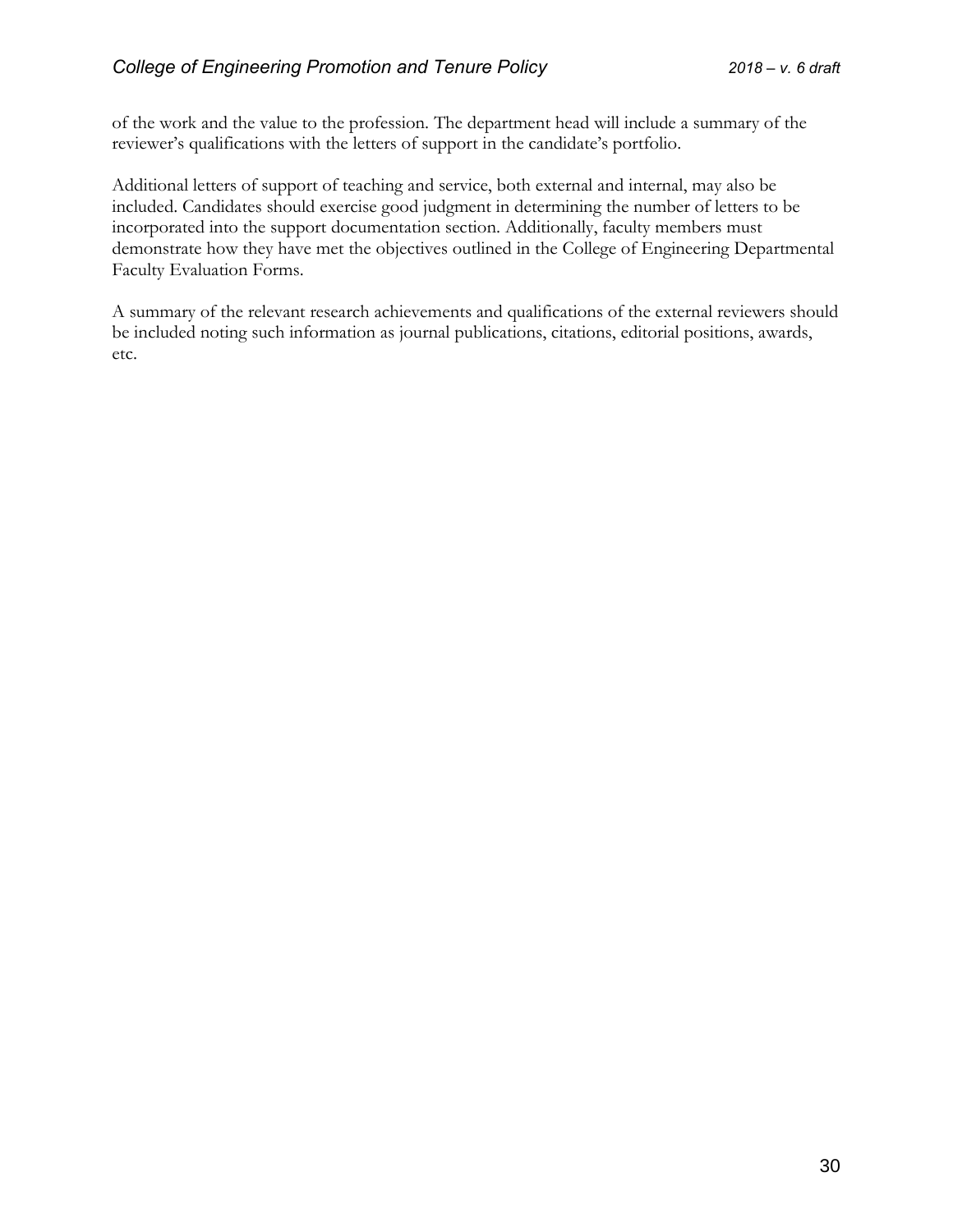of the work and the value to the profession. The department head will include a summary of the reviewer's qualifications with the letters of support in the candidate's portfolio.

Additional letters of support of teaching and service, both external and internal, may also be included. Candidates should exercise good judgment in determining the number of letters to be incorporated into the support documentation section. Additionally, faculty members must demonstrate how they have met the objectives outlined in the College of Engineering Departmental Faculty Evaluation Forms.

A summary of the relevant research achievements and qualifications of the external reviewers should be included noting such information as journal publications, citations, editorial positions, awards, etc.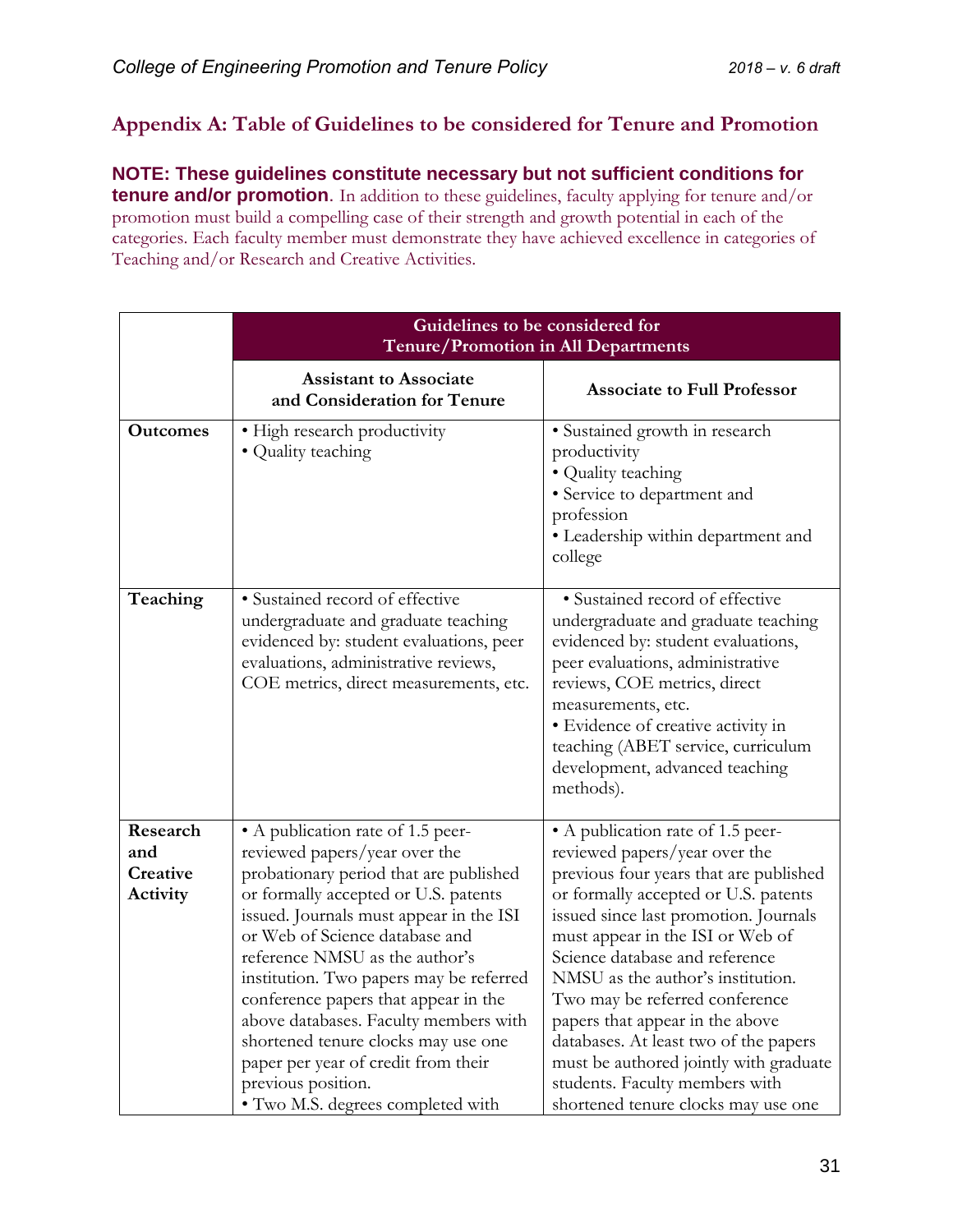# <span id="page-30-0"></span>**Appendix A: Table of Guidelines to be considered for Tenure and Promotion**

**NOTE: These guidelines constitute necessary but not sufficient conditions for tenure and/or promotion**. In addition to these guidelines, faculty applying for tenure and/or promotion must build a compelling case of their strength and growth potential in each of the categories. Each faculty member must demonstrate they have achieved excellence in categories of Teaching and/or Research and Creative Activities.

| Guidelines to be considered for<br>Tenure/Promotion in All Departments                                                                                                                                                                                                                                                                                                                                                                                                                              |                                                                                                                                                                                                                                                                                                                                                                                                                                                                                                                                           |
|-----------------------------------------------------------------------------------------------------------------------------------------------------------------------------------------------------------------------------------------------------------------------------------------------------------------------------------------------------------------------------------------------------------------------------------------------------------------------------------------------------|-------------------------------------------------------------------------------------------------------------------------------------------------------------------------------------------------------------------------------------------------------------------------------------------------------------------------------------------------------------------------------------------------------------------------------------------------------------------------------------------------------------------------------------------|
| <b>Assistant to Associate</b><br>and Consideration for Tenure                                                                                                                                                                                                                                                                                                                                                                                                                                       | <b>Associate to Full Professor</b>                                                                                                                                                                                                                                                                                                                                                                                                                                                                                                        |
| • High research productivity<br>• Quality teaching                                                                                                                                                                                                                                                                                                                                                                                                                                                  | · Sustained growth in research<br>productivity<br>• Quality teaching<br>• Service to department and<br>profession<br>· Leadership within department and<br>college                                                                                                                                                                                                                                                                                                                                                                        |
| · Sustained record of effective<br>undergraduate and graduate teaching<br>evidenced by: student evaluations, peer<br>evaluations, administrative reviews,<br>COE metrics, direct measurements, etc.                                                                                                                                                                                                                                                                                                 | · Sustained record of effective<br>undergraduate and graduate teaching<br>evidenced by: student evaluations,<br>peer evaluations, administrative<br>reviews, COE metrics, direct<br>measurements, etc.<br>• Evidence of creative activity in<br>teaching (ABET service, curriculum<br>development, advanced teaching<br>methods).                                                                                                                                                                                                         |
| • A publication rate of 1.5 peer-<br>reviewed papers/year over the<br>probationary period that are published<br>or formally accepted or U.S. patents<br>issued. Journals must appear in the ISI<br>or Web of Science database and<br>reference NMSU as the author's<br>institution. Two papers may be referred<br>conference papers that appear in the<br>above databases. Faculty members with<br>shortened tenure clocks may use one<br>paper per year of credit from their<br>previous position. | • A publication rate of 1.5 peer-<br>reviewed papers/year over the<br>previous four years that are published<br>or formally accepted or U.S. patents<br>issued since last promotion. Journals<br>must appear in the ISI or Web of<br>Science database and reference<br>NMSU as the author's institution.<br>Two may be referred conference<br>papers that appear in the above<br>databases. At least two of the papers<br>must be authored jointly with graduate<br>students. Faculty members with<br>shortened tenure clocks may use one |
|                                                                                                                                                                                                                                                                                                                                                                                                                                                                                                     | · Two M.S. degrees completed with                                                                                                                                                                                                                                                                                                                                                                                                                                                                                                         |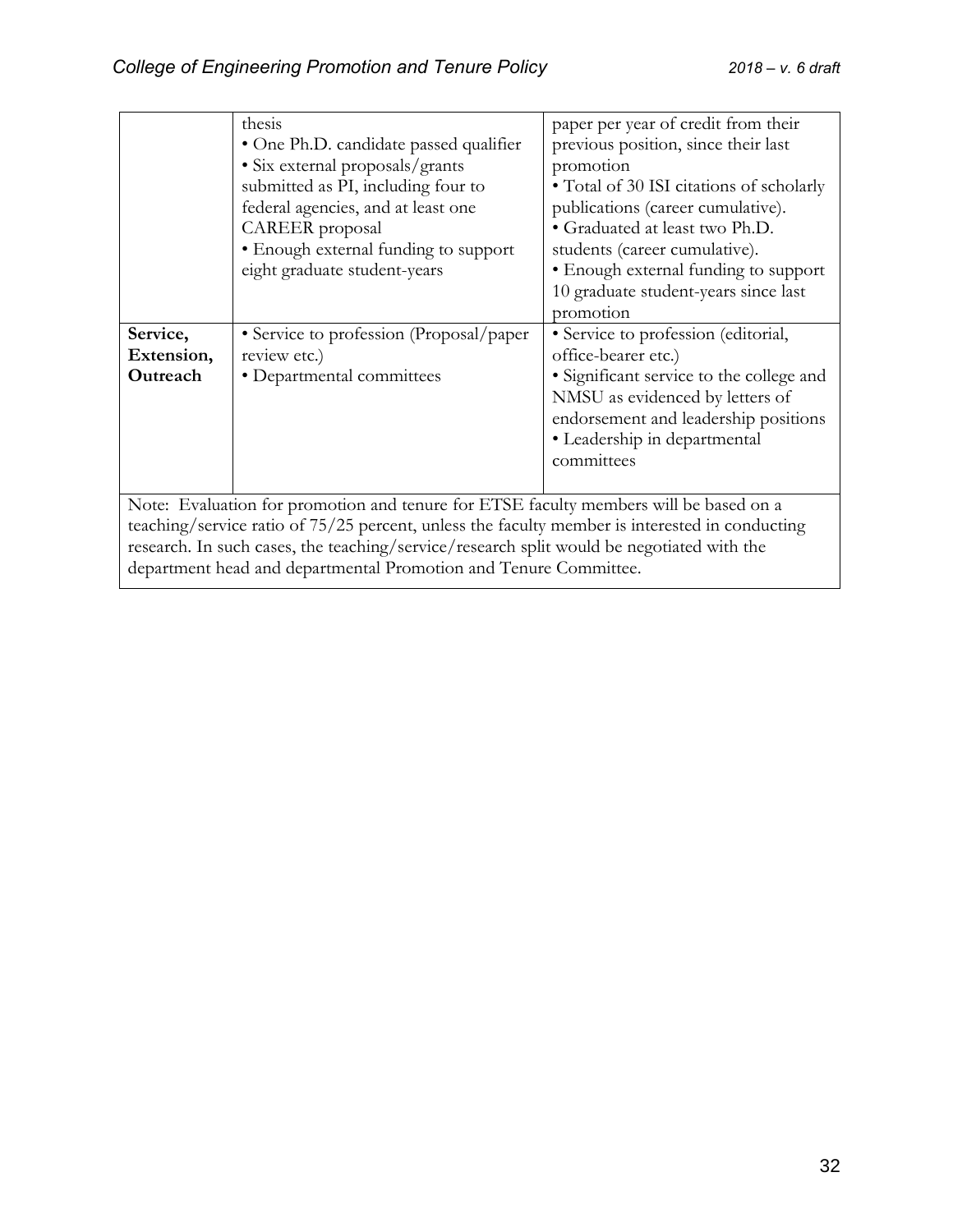|            | thesis                                                                                         | paper per year of credit from their      |
|------------|------------------------------------------------------------------------------------------------|------------------------------------------|
|            | • One Ph.D. candidate passed qualifier                                                         | previous position, since their last      |
|            | • Six external proposals/grants                                                                | promotion                                |
|            | submitted as PI, including four to                                                             | • Total of 30 ISI citations of scholarly |
|            | federal agencies, and at least one                                                             | publications (career cumulative).        |
|            | CAREER proposal                                                                                | • Graduated at least two Ph.D.           |
|            | • Enough external funding to support                                                           | students (career cumulative).            |
|            | eight graduate student-years                                                                   | • Enough external funding to support     |
|            |                                                                                                | 10 graduate student-years since last     |
|            |                                                                                                | promotion                                |
| Service,   | • Service to profession (Proposal/paper                                                        | • Service to profession (editorial,      |
| Extension, | review etc.)                                                                                   | office-bearer etc.)                      |
| Outreach   | • Departmental committees                                                                      | • Significant service to the college and |
|            |                                                                                                | NMSU as evidenced by letters of          |
|            |                                                                                                | endorsement and leadership positions     |
|            |                                                                                                | • Leadership in departmental             |
|            |                                                                                                | committees                               |
|            |                                                                                                |                                          |
|            | Note: Evaluation for promotion and tenure for ETSE faculty members will be based on a          |                                          |
|            | teaching/service ratio of 75/25 percent, unless the faculty member is interested in conducting |                                          |
|            | research. In such cases, the teaching/service/research split would be negotiated with the      |                                          |
|            |                                                                                                |                                          |

department head and departmental Promotion and Tenure Committee.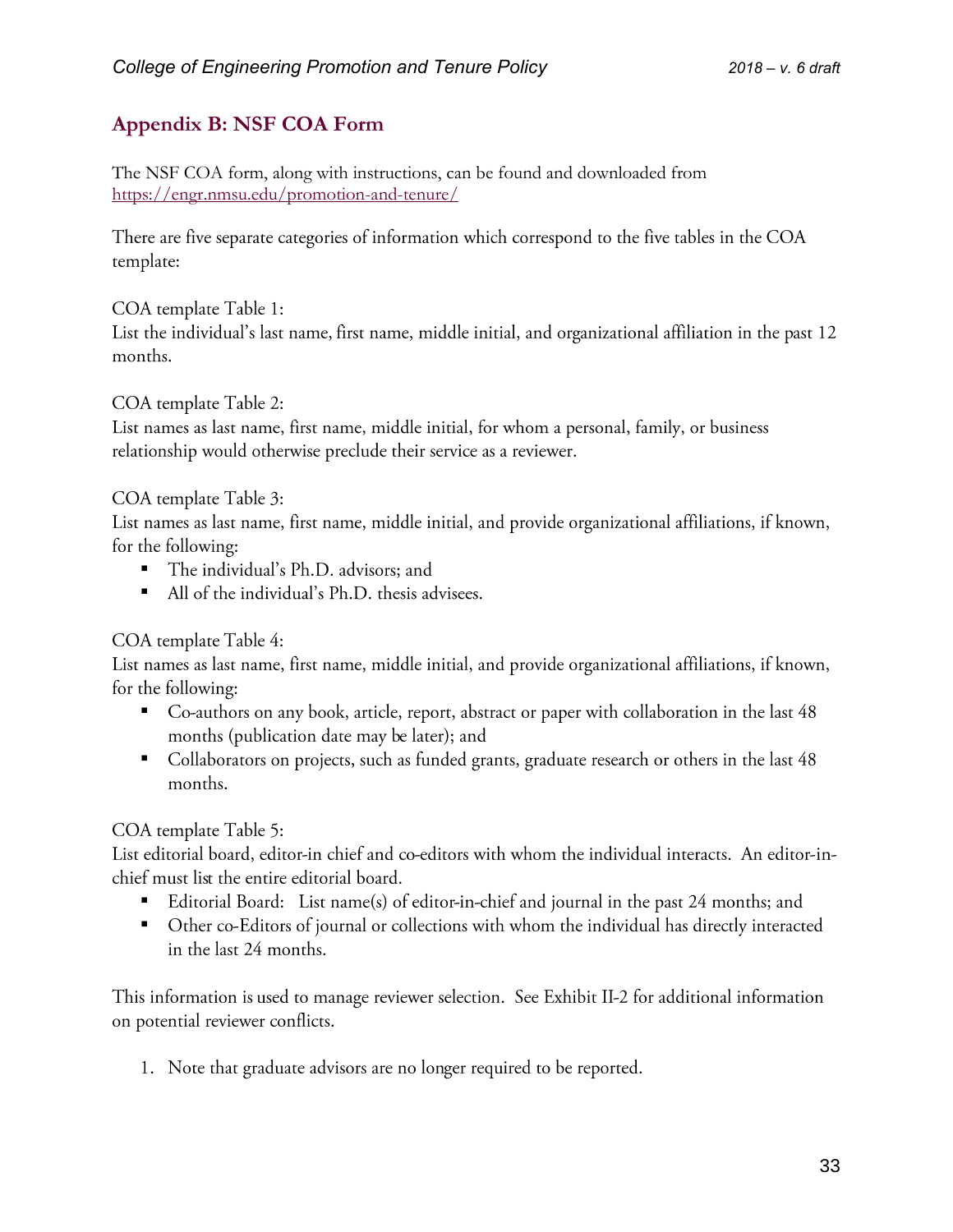# <span id="page-32-0"></span>**Appendix B: NSF COA Form**

The NSF COA form, along with instructions, can be found and downloaded from <https://engr.nmsu.edu/promotion-and-tenure/>

There are five separate categories of information which correspond to the five tables in the COA template:

#### COA template Table 1:

List the individual's last name, first name, middle initial, and organizational affiliation in the past 12 months.

#### COA template Table 2:

List names as last name, first name, middle initial, for whom a personal, family, or business relationship would otherwise preclude their service as a reviewer.

#### COA template Table 3:

List names as last name, first name, middle initial, and provide organizational affiliations, if known, for the following:

- The individual's Ph.D. advisors; and
- All of the individual's Ph.D. thesis advisees.

#### COA template Table 4:

List names as last name, first name, middle initial, and provide organizational affiliations, if known, for the following:

- Co-authors on any book, article, report, abstract or paper with collaboration in the last 48 months (publication date may be later); and
- Collaborators on projects, such as funded grants, graduate research or others in the last 48 months.

#### COA template Table 5:

List editorial board, editor-in chief and co-editors with whom the individual interacts. An editor-inchief must list the entire editorial board.

- Editorial Board: List name(s) of editor-in-chief and journal in the past 24 months; and
- Other co-Editors of journal or collections with whom the individual has directly interacted in the last 24 months.

This information is used to manage reviewer selection. See Exhibit II-2 for additional information on potential reviewer conflicts.

1. Note that graduate advisors are no longer required to be reported.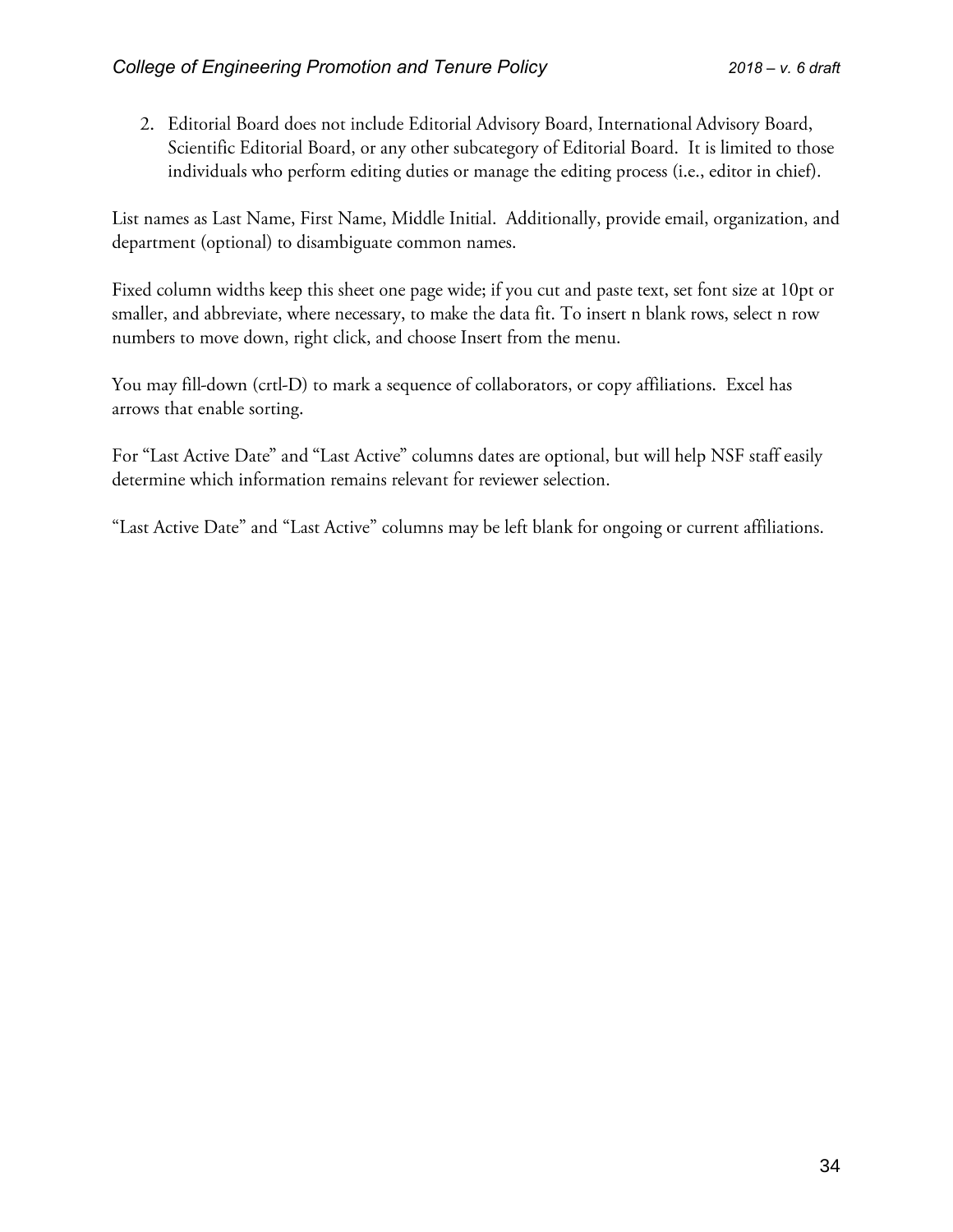2. Editorial Board does not include Editorial Advisory Board, International Advisory Board, Scientific Editorial Board, or any other subcategory of Editorial Board. It is limited to those individuals who perform editing duties or manage the editing process (i.e., editor in chief).

List names as Last Name, First Name, Middle Initial. Additionally, provide email, organization, and department (optional) to disambiguate common names.

Fixed column widths keep this sheet one page wide; if you cut and paste text, set font size at 10pt or smaller, and abbreviate, where necessary, to make the data fit. To insert n blank rows, select n row numbers to move down, right click, and choose Insert from the menu.

You may fill-down (crtl-D) to mark a sequence of collaborators, or copy affiliations. Excel has arrows that enable sorting.

For "Last Active Date" and "Last Active" columns dates are optional, but will help NSF staff easily determine which information remains relevant for reviewer selection.

"Last Active Date" and "Last Active" columns may be left blank for ongoing or current affiliations.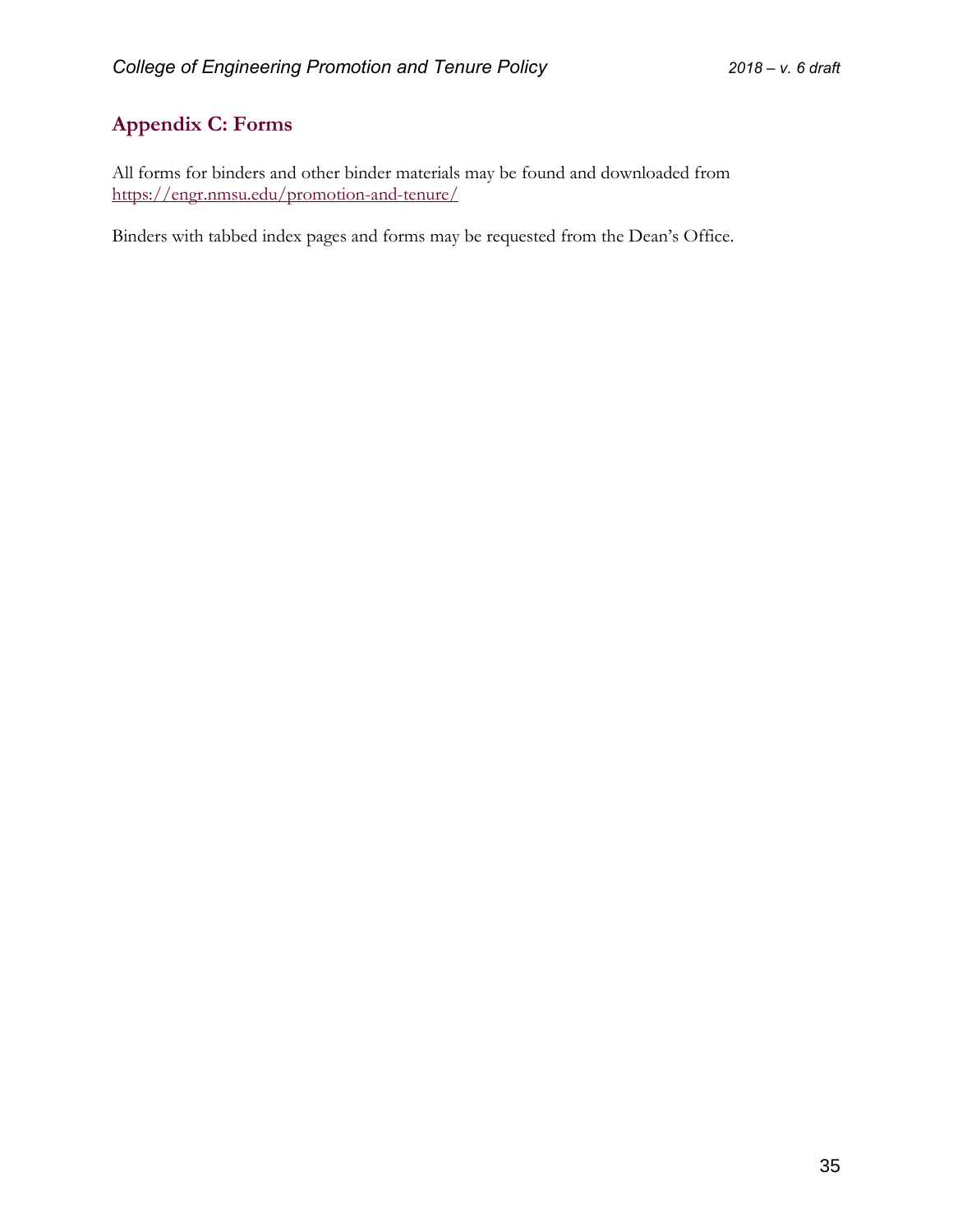# <span id="page-34-0"></span>**Appendix C: Forms**

All forms for binders and other binder materials may be found and downloaded from <https://engr.nmsu.edu/promotion-and-tenure/>

Binders with tabbed index pages and forms may be requested from the Dean's Office.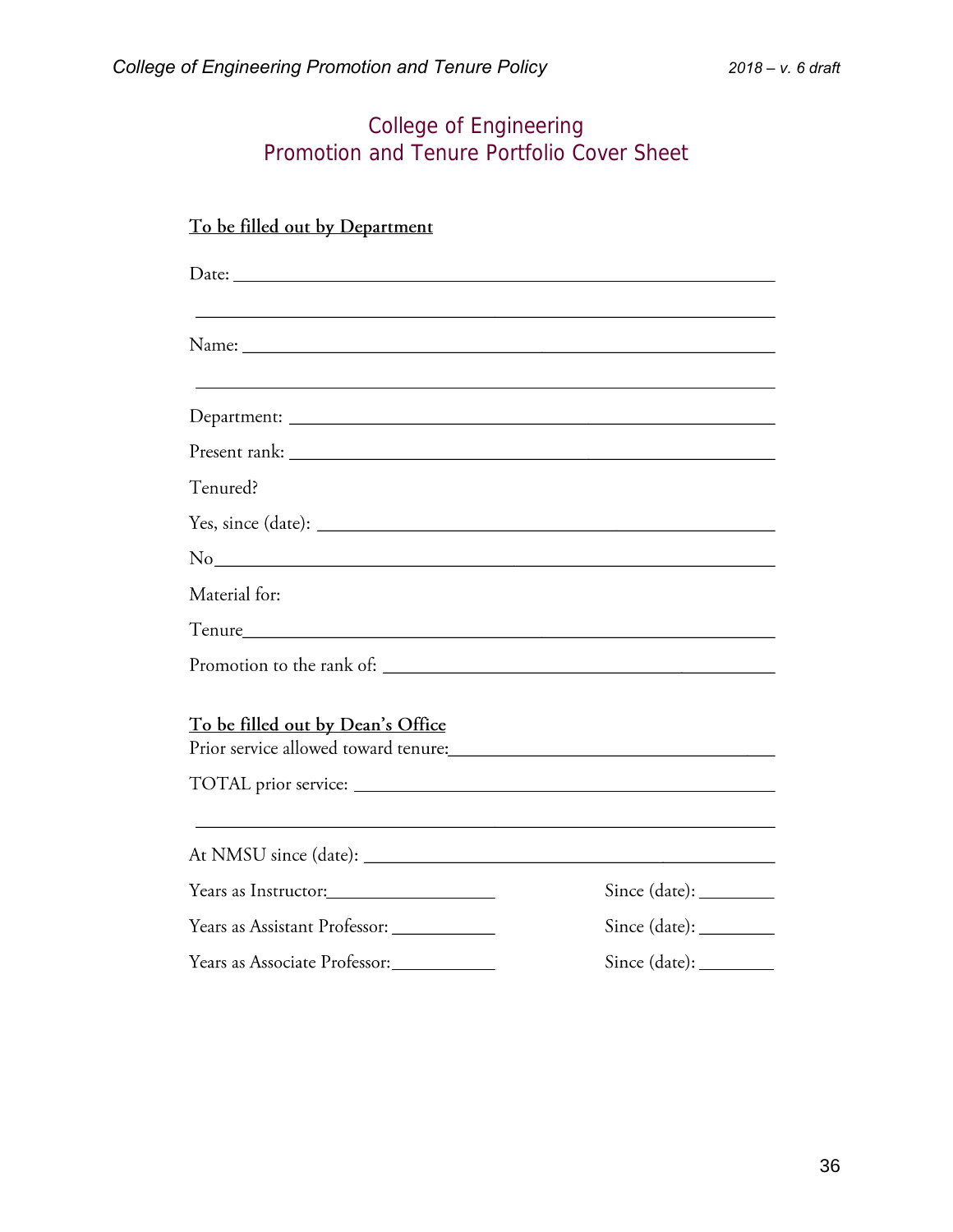# College of Engineering Promotion and Tenure Portfolio Cover Sheet

# To be filled out by Department

| Tenured?                                   |                        |
|--------------------------------------------|------------------------|
|                                            |                        |
| No                                         |                        |
| Material for:                              |                        |
|                                            |                        |
|                                            |                        |
| To be filled out by Dean's Office          |                        |
|                                            |                        |
|                                            |                        |
| Years as Instructor:                       | $Since (date): \_\_$   |
| Years as Assistant Professor: ____________ | Since (date): ________ |
| Years as Associate Professor:              |                        |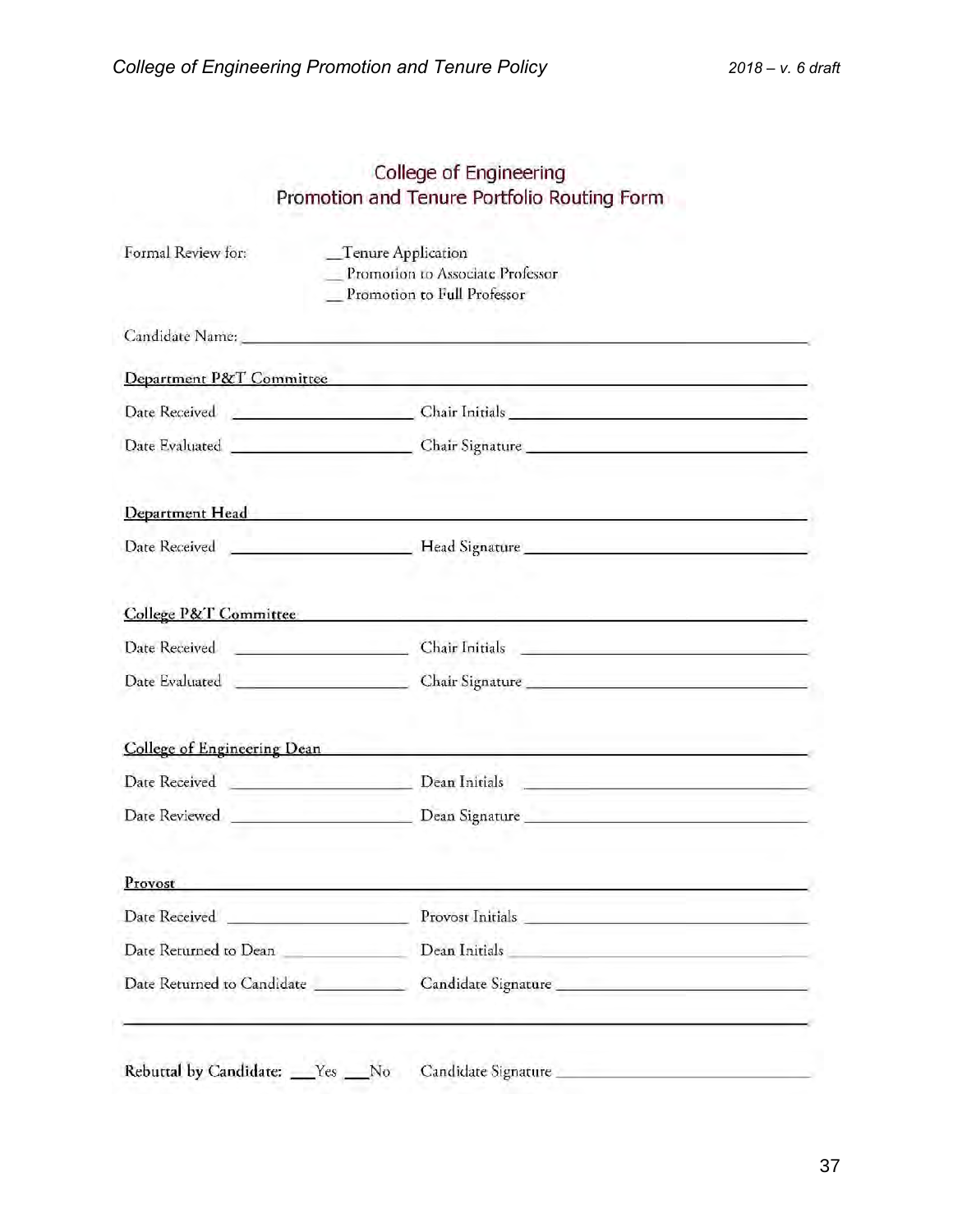# College of Engineering Promotion and Tenure Portfolio Routing Form

| Formal Review for:                                                 | Tenure Application<br>Promotion to Associate Professor<br>Promotion to Full Professor                                                                                                                                          |
|--------------------------------------------------------------------|--------------------------------------------------------------------------------------------------------------------------------------------------------------------------------------------------------------------------------|
|                                                                    |                                                                                                                                                                                                                                |
| Department P&T Committee                                           | the property of the company's company's company's company's                                                                                                                                                                    |
|                                                                    | Date Received Chair Initials Chair Initials                                                                                                                                                                                    |
|                                                                    |                                                                                                                                                                                                                                |
|                                                                    | Department Head and the contract of the contract of the contract of the contract of the contract of the contract of the contract of the contract of the contract of the contract of the contract of the contract of the contra |
|                                                                    |                                                                                                                                                                                                                                |
|                                                                    | College P&T Committee                                                                                                                                                                                                          |
|                                                                    |                                                                                                                                                                                                                                |
|                                                                    |                                                                                                                                                                                                                                |
| College of Engineering Dean                                        | <u> 1965 - Johann Harry Barn, mars ann an t-Amhain an t-A</u>                                                                                                                                                                  |
| Date Received New York President Press and American Communications | Dean Initials and the contract of the contract of the contract of the contract of the contract of the contract of the contract of the contract of the contract of the contract of the contract of the contract of the contract |
|                                                                    |                                                                                                                                                                                                                                |
| Provost                                                            |                                                                                                                                                                                                                                |
| Date Received No. 1999                                             | Provost Initials                                                                                                                                                                                                               |
| Date Returned to Dean                                              | Dean Initials and the contract of the contract of the contract of the contract of the contract of the contract of the contract of the contract of the contract of the contract of the contract of the contract of the contract |
| Date Returned to Candidate                                         | Candidate Signature                                                                                                                                                                                                            |
| Rebuttal by Candidate: Ves No                                      | Candidate Signature                                                                                                                                                                                                            |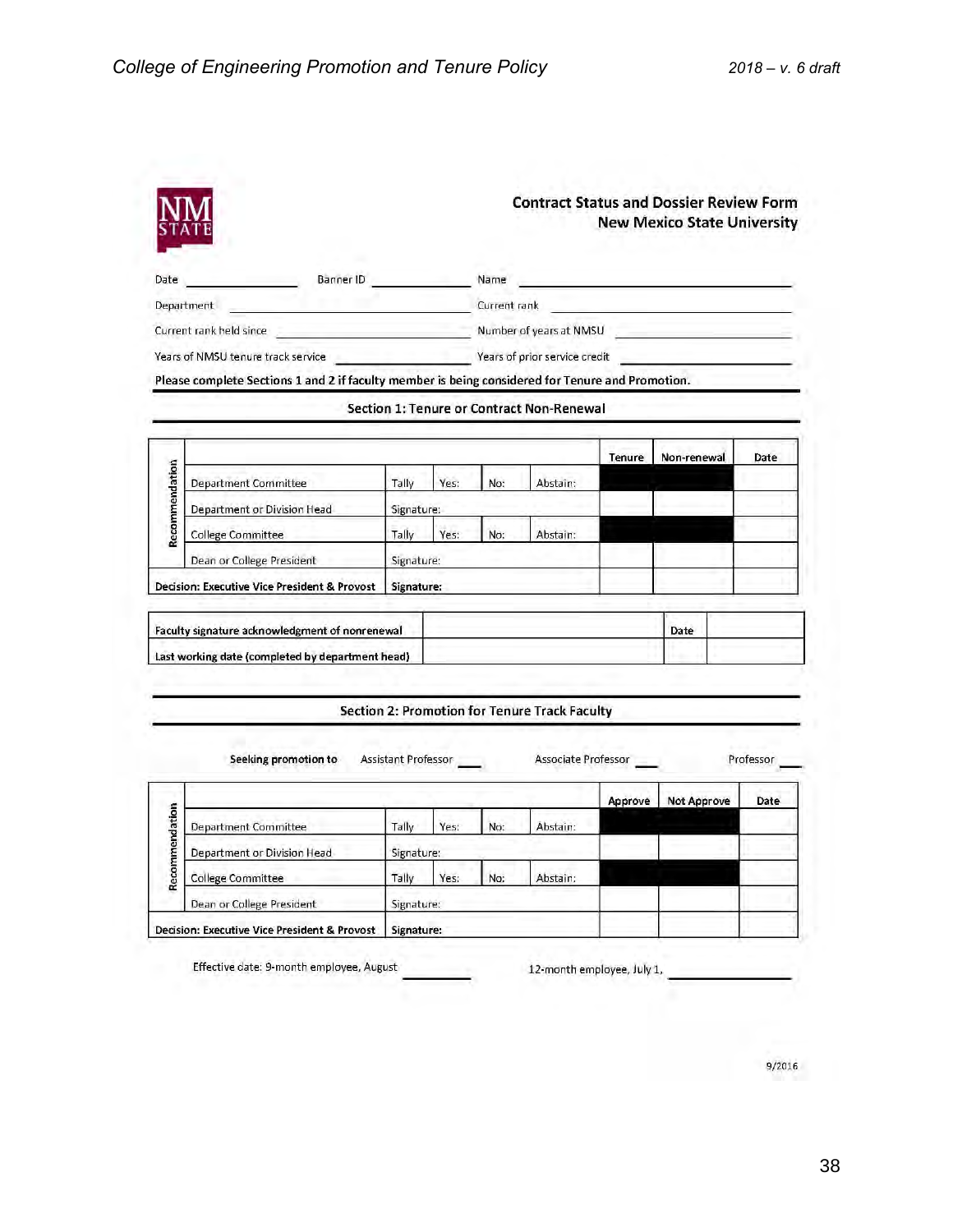| Banner ID<br>the common control of<br>Date<br>Department<br><u> Leonard Maria Maria a Component de la propie</u><br>Current rank held since<br>Years of NMSU tenure track service |                                                                                                  |            |              | Name                                                                                                                                                                                                                           |                                           | <u> Alexandria de la contrada de la contrada de la contrada de la contrada de la contrada de la contrada de la c</u> |             |  |      |
|-----------------------------------------------------------------------------------------------------------------------------------------------------------------------------------|--------------------------------------------------------------------------------------------------|------------|--------------|--------------------------------------------------------------------------------------------------------------------------------------------------------------------------------------------------------------------------------|-------------------------------------------|----------------------------------------------------------------------------------------------------------------------|-------------|--|------|
|                                                                                                                                                                                   |                                                                                                  |            | Current rank |                                                                                                                                                                                                                                |                                           |                                                                                                                      |             |  |      |
|                                                                                                                                                                                   |                                                                                                  |            |              | Number of years at NMSU and the control of the control of the control of the control of the control of the control of the control of the control of the control of the control of the control of the control of the control of |                                           |                                                                                                                      |             |  |      |
|                                                                                                                                                                                   |                                                                                                  |            |              |                                                                                                                                                                                                                                | <b>Sears of prior service credit</b>      |                                                                                                                      |             |  |      |
|                                                                                                                                                                                   | Please complete Sections 1 and 2 if faculty member is being considered for Tenure and Promotion. |            |              |                                                                                                                                                                                                                                |                                           |                                                                                                                      |             |  |      |
|                                                                                                                                                                                   |                                                                                                  |            |              |                                                                                                                                                                                                                                | Section 1: Tenure or Contract Non-Renewal |                                                                                                                      |             |  |      |
|                                                                                                                                                                                   |                                                                                                  |            |              |                                                                                                                                                                                                                                |                                           |                                                                                                                      |             |  |      |
|                                                                                                                                                                                   |                                                                                                  |            |              |                                                                                                                                                                                                                                |                                           | Tenure                                                                                                               | Non-renewal |  | Date |
|                                                                                                                                                                                   | <b>Department Committee</b>                                                                      | Tally      | Yes:         | No:                                                                                                                                                                                                                            | Abstain:                                  |                                                                                                                      |             |  |      |
|                                                                                                                                                                                   | Department or Division Head                                                                      | Signature: |              |                                                                                                                                                                                                                                |                                           |                                                                                                                      |             |  |      |
| Recommendation                                                                                                                                                                    | <b>College Committee</b>                                                                         | Tally      | Yes:         | No:                                                                                                                                                                                                                            | Abstain:                                  |                                                                                                                      |             |  |      |
|                                                                                                                                                                                   | Dean or College President                                                                        | Signature: |              |                                                                                                                                                                                                                                |                                           |                                                                                                                      |             |  |      |
|                                                                                                                                                                                   | <b>Decision: Executive Vice President &amp; Provost</b>                                          | Signature: |              |                                                                                                                                                                                                                                |                                           |                                                                                                                      |             |  |      |
|                                                                                                                                                                                   |                                                                                                  |            |              |                                                                                                                                                                                                                                |                                           |                                                                                                                      |             |  |      |
|                                                                                                                                                                                   |                                                                                                  |            |              |                                                                                                                                                                                                                                |                                           |                                                                                                                      | Date        |  |      |
|                                                                                                                                                                                   | Faculty signature acknowledgment of nonrenewal                                                   |            |              |                                                                                                                                                                                                                                |                                           |                                                                                                                      |             |  |      |

Seeking promotion to

Associate Professor

Professor

Not Approve Date Approve Recommendation **Department Committee** Tally Yes: No: Abstain: Department or Division Head Signature: Abstain: College Committee Tally Yes: No: Dean or College President Signature: Decision: Executive Vice President & Provost | Signature:

Assistant Professor

Effective date: 9-month employee, August

12-month employee, July 1,

9/2016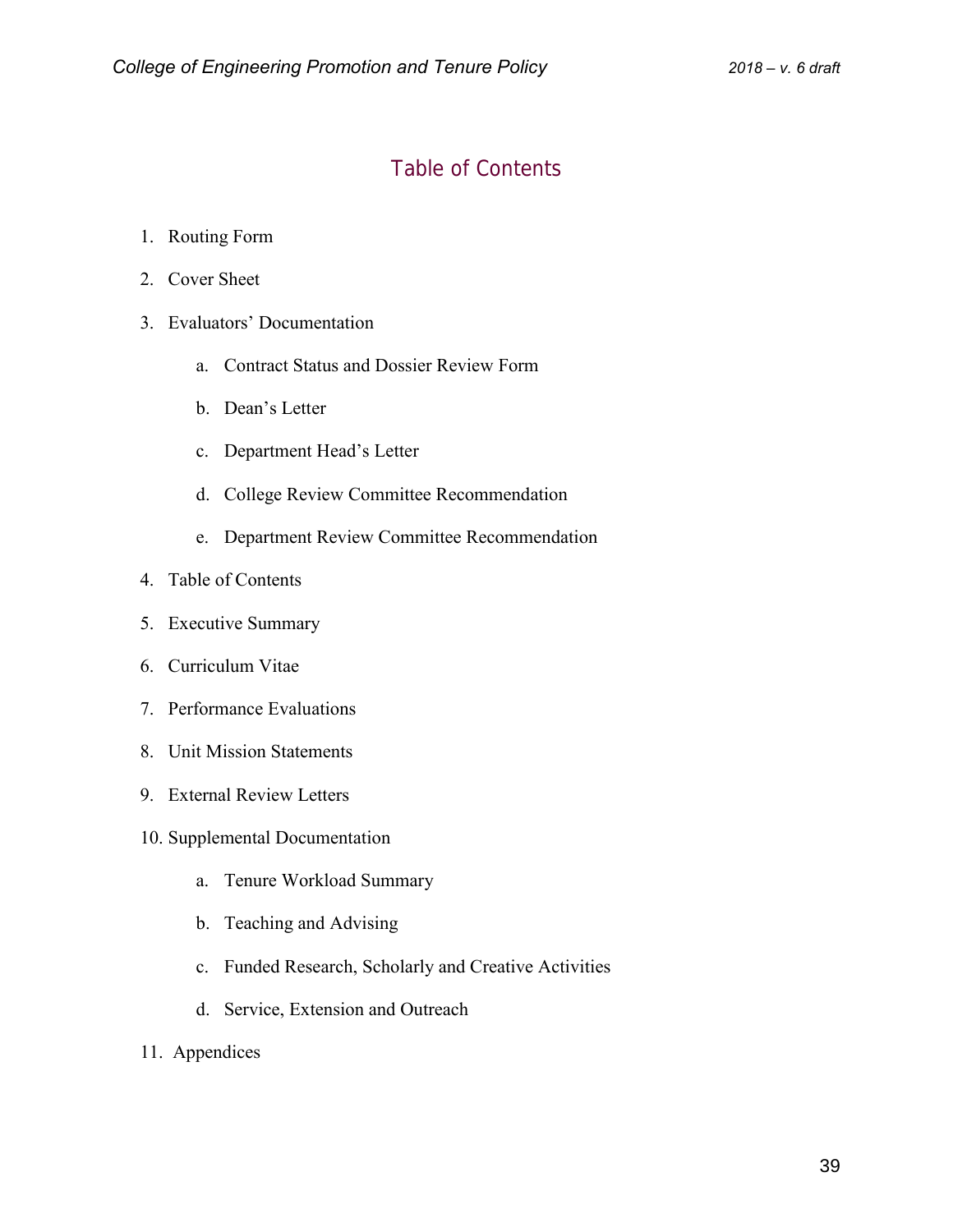# Table of Contents

- 1. Routing Form
- 2. Cover Sheet
- 3. Evaluators' Documentation
	- a. Contract Status and Dossier Review Form
	- b. Dean's Letter
	- c. Department Head's Letter
	- d. College Review Committee Recommendation
	- e. Department Review Committee Recommendation
- 4. Table of Contents
- 5. Executive Summary
- 6. Curriculum Vitae
- 7. Performance Evaluations
- 8. Unit Mission Statements
- 9. External Review Letters
- 10. Supplemental Documentation
	- a. Tenure Workload Summary
	- b. Teaching and Advising
	- c. Funded Research, Scholarly and Creative Activities
	- d. Service, Extension and Outreach
- 11. Appendices